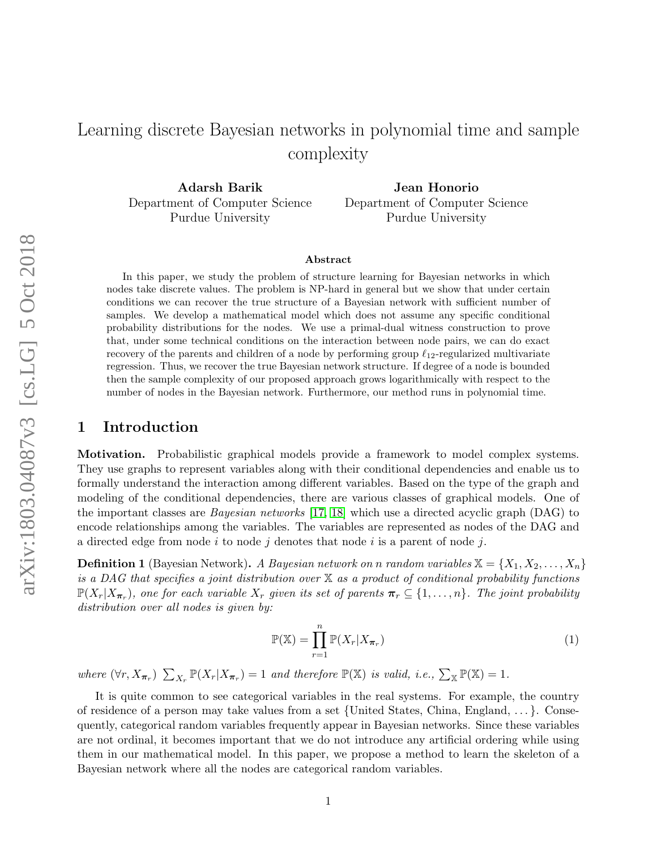# Learning discrete Bayesian networks in polynomial time and sample complexity

Adarsh Barik Department of Computer Science Purdue University

Jean Honorio Department of Computer Science Purdue University

#### Abstract

In this paper, we study the problem of structure learning for Bayesian networks in which nodes take discrete values. The problem is NP-hard in general but we show that under certain conditions we can recover the true structure of a Bayesian network with sufficient number of samples. We develop a mathematical model which does not assume any specific conditional probability distributions for the nodes. We use a primal-dual witness construction to prove that, under some technical conditions on the interaction between node pairs, we can do exact recovery of the parents and children of a node by performing group  $\ell_{12}$ -regularized multivariate regression. Thus, we recover the true Bayesian network structure. If degree of a node is bounded then the sample complexity of our proposed approach grows logarithmically with respect to the number of nodes in the Bayesian network. Furthermore, our method runs in polynomial time.

### 1 Introduction

Motivation. Probabilistic graphical models provide a framework to model complex systems. They use graphs to represent variables along with their conditional dependencies and enable us to formally understand the interaction among different variables. Based on the type of the graph and modeling of the conditional dependencies, there are various classes of graphical models. One of the important classes are Bayesian networks [\[17,](#page-12-0) [18\]](#page-12-1) which use a directed acyclic graph (DAG) to encode relationships among the variables. The variables are represented as nodes of the DAG and a directed edge from node  $i$  to node  $j$  denotes that node  $i$  is a parent of node  $j$ .

**Definition 1** (Bayesian Network). A Bayesian network on n random variables  $\mathbb{X} = \{X_1, X_2, \ldots, X_n\}$ is a DAG that specifies a joint distribution over  $X$  as a product of conditional probability functions  $\mathbb{P}(X_r|X_{\boldsymbol{\pi}_r})$ , one for each variable  $X_r$  given its set of parents  $\boldsymbol{\pi}_r \subseteq \{1,\ldots,n\}$ . The joint probability distribution over all nodes is given by:

<span id="page-0-0"></span>
$$
\mathbb{P}(\mathbb{X}) = \prod_{r=1}^{n} \mathbb{P}(X_r | X_{\boldsymbol{\pi}_r})
$$
\n(1)

where  $(\forall r, X_{\pi_r})$   $\sum_{X_r} \mathbb{P}(X_r | X_{\pi_r}) = 1$  and therefore  $\mathbb{P}(\mathbb{X})$  is valid, i.e.,  $\sum_{\mathbb{X}} \mathbb{P}(\mathbb{X}) = 1$ .

It is quite common to see categorical variables in the real systems. For example, the country of residence of a person may take values from a set {United States, China, England,  $\dots$ }. Consequently, categorical random variables frequently appear in Bayesian networks. Since these variables are not ordinal, it becomes important that we do not introduce any artificial ordering while using them in our mathematical model. In this paper, we propose a method to learn the skeleton of a Bayesian network where all the nodes are categorical random variables.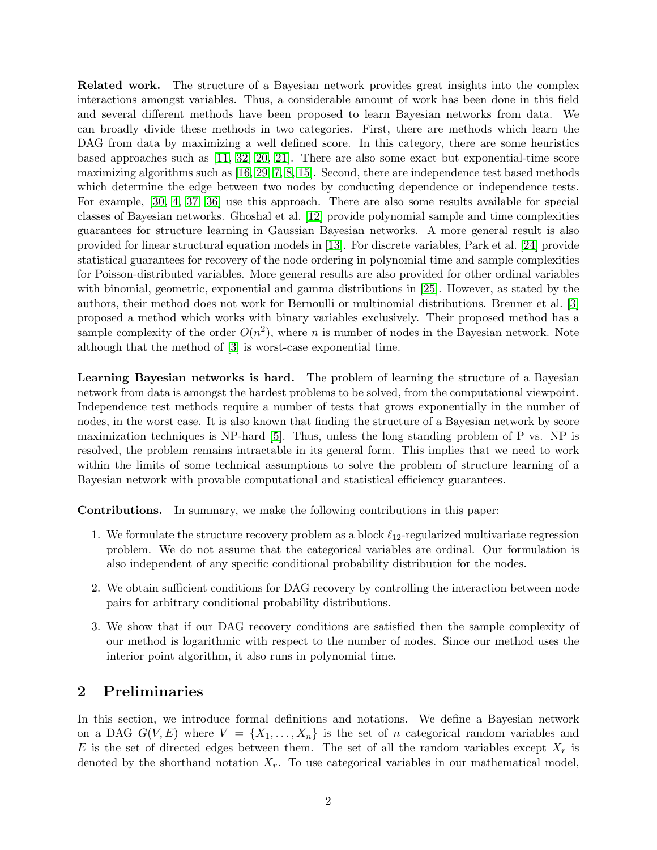Related work. The structure of a Bayesian network provides great insights into the complex interactions amongst variables. Thus, a considerable amount of work has been done in this field and several different methods have been proposed to learn Bayesian networks from data. We can broadly divide these methods in two categories. First, there are methods which learn the DAG from data by maximizing a well defined score. In this category, there are some heuristics based approaches such as [\[11,](#page-12-2) [32,](#page-13-0) [20,](#page-12-3) [21\]](#page-12-4). There are also some exact but exponential-time score maximizing algorithms such as [\[16,](#page-12-5) [29,](#page-13-1) [7,](#page-12-6) [8,](#page-12-7) [15\]](#page-12-8). Second, there are independence test based methods which determine the edge between two nodes by conducting dependence or independence tests. For example, [\[30,](#page-13-2) [4,](#page-11-0) [37,](#page-13-3) [36\]](#page-13-4) use this approach. There are also some results available for special classes of Bayesian networks. Ghoshal et al. [\[12\]](#page-12-9) provide polynomial sample and time complexities guarantees for structure learning in Gaussian Bayesian networks. A more general result is also provided for linear structural equation models in [\[13\]](#page-12-10). For discrete variables, Park et al. [\[24\]](#page-13-5) provide statistical guarantees for recovery of the node ordering in polynomial time and sample complexities for Poisson-distributed variables. More general results are also provided for other ordinal variables with binomial, geometric, exponential and gamma distributions in [\[25\]](#page-13-6). However, as stated by the authors, their method does not work for Bernoulli or multinomial distributions. Brenner et al. [\[3\]](#page-11-1) proposed a method which works with binary variables exclusively. Their proposed method has a sample complexity of the order  $O(n^2)$ , where n is number of nodes in the Bayesian network. Note although that the method of [\[3\]](#page-11-1) is worst-case exponential time.

Learning Bayesian networks is hard. The problem of learning the structure of a Bayesian network from data is amongst the hardest problems to be solved, from the computational viewpoint. Independence test methods require a number of tests that grows exponentially in the number of nodes, in the worst case. It is also known that finding the structure of a Bayesian network by score maximization techniques is NP-hard [\[5\]](#page-12-11). Thus, unless the long standing problem of P vs. NP is resolved, the problem remains intractable in its general form. This implies that we need to work within the limits of some technical assumptions to solve the problem of structure learning of a Bayesian network with provable computational and statistical efficiency guarantees.

Contributions. In summary, we make the following contributions in this paper:

- 1. We formulate the structure recovery problem as a block  $\ell_{12}$ -regularized multivariate regression problem. We do not assume that the categorical variables are ordinal. Our formulation is also independent of any specific conditional probability distribution for the nodes.
- 2. We obtain sufficient conditions for DAG recovery by controlling the interaction between node pairs for arbitrary conditional probability distributions.
- 3. We show that if our DAG recovery conditions are satisfied then the sample complexity of our method is logarithmic with respect to the number of nodes. Since our method uses the interior point algorithm, it also runs in polynomial time.

### <span id="page-1-0"></span>2 Preliminaries

In this section, we introduce formal definitions and notations. We define a Bayesian network on a DAG  $G(V, E)$  where  $V = \{X_1, \ldots, X_n\}$  is the set of n categorical random variables and E is the set of directed edges between them. The set of all the random variables except  $X_r$  is denoted by the shorthand notation  $X_{\bar{r}}$ . To use categorical variables in our mathematical model,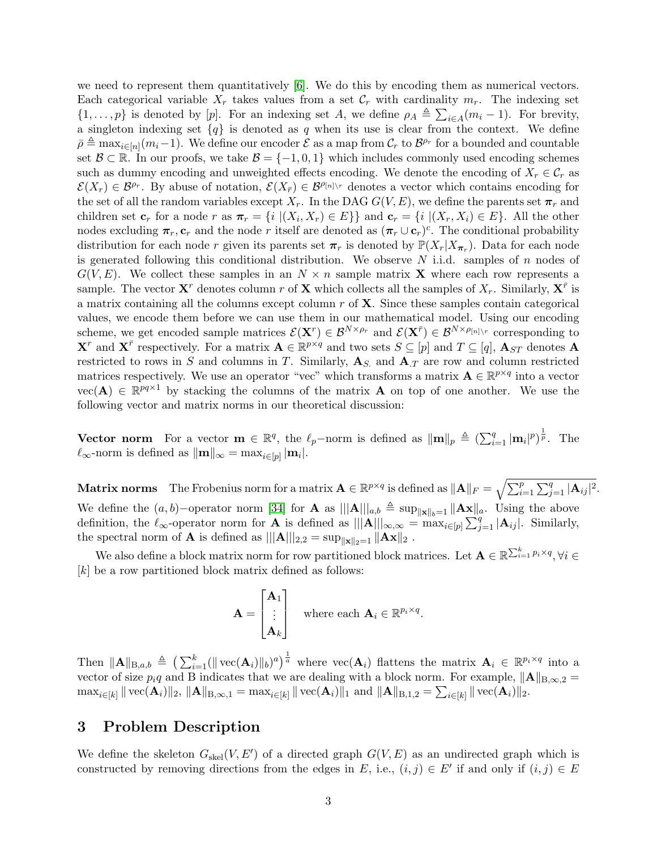we need to represent them quantitatively [\[6\]](#page-12-12). We do this by encoding them as numerical vectors. Each categorical variable  $X_r$  takes values from a set  $\mathcal{C}_r$  with cardinality  $m_r$ . The indexing set  $\{1,\ldots,p\}$  is denoted by [p]. For an indexing set A, we define  $\rho_A \triangleq \sum_{i\in A} (m_i - 1)$ . For brevity, a singleton indexing set  ${q}$  is denoted as q when its use is clear from the context. We define  $\bar{\rho} \triangleq \max_{i \in [n]} (m_i-1)$ . We define our encoder  $\mathcal E$  as a map from  $\mathcal C_r$  to  $\mathcal B^{\rho_r}$  for a bounded and countable set  $\mathcal{B} \subset \mathbb{R}$ . In our proofs, we take  $\mathcal{B} = \{-1, 0, 1\}$  which includes commonly used encoding schemes such as dummy encoding and unweighted effects encoding. We denote the encoding of  $X_r \in \mathcal{C}_r$  as  $\mathcal{E}(X_r) \in \mathcal{B}^{\rho_r}$ . By abuse of notation,  $\mathcal{E}(X_{\bar{r}}) \in \mathcal{B}^{\rho_{[n]\setminus r}}$  denotes a vector which contains encoding for the set of all the random variables except  $X_r$ . In the DAG  $G(V, E)$ , we define the parents set  $\pi_r$  and children set  $\mathbf{c}_r$  for a node r as  $\pi_r = \{i \mid (X_i, X_r) \in E\}$  and  $\mathbf{c}_r = \{i \mid (X_r, X_i) \in E\}$ . All the other nodes excluding  $\pi_r, \mathbf{c}_r$  and the node r itself are denoted as  $(\pi_r \cup \mathbf{c}_r)^c$ . The conditional probability distribution for each node r given its parents set  $\pi_r$  is denoted by  $\mathbb{P}(X_r|X_{\pi_r})$ . Data for each node is generated following this conditional distribution. We observe  $N$  i.i.d. samples of  $n$  nodes of  $G(V, E)$ . We collect these samples in an  $N \times n$  sample matrix **X** where each row represents a sample. The vector  $X^r$  denotes column r of X which collects all the samples of  $X_r$ . Similarly,  $X^{\bar{r}}$  is a matrix containing all the columns except column  $r$  of  $X$ . Since these samples contain categorical values, we encode them before we can use them in our mathematical model. Using our encoding scheme, we get encoded sample matrices  $\mathcal{E}(\mathbf{X}^r) \in \mathcal{B}^{N \times \rho_r}$  and  $\mathcal{E}(\mathbf{X}^{\bar{r}}) \in \mathcal{B}^{N \times \rho_{[n] \setminus r}}$  corresponding to  $\mathbf{X}^r$  and  $\mathbf{X}^{\bar{r}}$  respectively. For a matrix  $\mathbf{A} \in \mathbb{R}^{p \times q}$  and two sets  $S \subseteq [p]$  and  $T \subseteq [q]$ ,  $\mathbf{A}_{ST}$  denotes  $\mathbf{A}$ restricted to rows in S and columns in T. Similarly,  $A<sub>S</sub>$  and  $A<sub>T</sub>$  are row and column restricted matrices respectively. We use an operator "vec" which transforms a matrix  $\mathbf{A} \in \mathbb{R}^{p \times q}$  into a vector  $vec(\mathbf{A}) \in \mathbb{R}^{pq \times 1}$  by stacking the columns of the matrix **A** on top of one another. We use the following vector and matrix norms in our theoretical discussion:

**Vector norm** For a vector  $\mathbf{m} \in \mathbb{R}^q$ , the  $\ell_p$ -norm is defined as  $\|\mathbf{m}\|_p \triangleq (\sum_{i=1}^q |\mathbf{m}_i|^p)^{\frac{1}{p}}$ . The  $\ell_{\infty}$ -norm is defined as  $\|\mathbf{m}\|_{\infty} = \max_{i \in [p]} |\mathbf{m}_i|.$ 

Matrix norms The Frobenius norm for a matrix  $\mathbf{A} \in \mathbb{R}^{p \times q}$  is defined as  $\|\mathbf{A}\|_F = \sqrt{\sum_{i=1}^p\sum_{j=1}^q |\mathbf{A}_{ij}|^2}.$ We define the  $(a, b)$ −operator norm [\[34\]](#page-13-7) for **A** as  $|||A|||_{a,b} \triangleq \sup_{||\mathbf{x}||_{b}=1} ||A\mathbf{x}||_{a}$ . Using the above definition, the  $\ell_{\infty}$ -operator norm for **A** is defined as  $|||A|||_{\infty,\infty} = \max_{i \in [p]} \sum_{j=1}^{q} |A_{ij}|$ . Similarly, the spectral norm of **A** is defined as  $|||\mathbf{A}||_{2,2} = \sup_{\|\mathbf{x}\|_2=1} \|\mathbf{A}\mathbf{x}\|_2$ .

We also define a block matrix norm for row partitioned block matrices. Let  $\mathbf{A} \in \mathbb{R}^{\sum_{i=1}^{k} p_i \times q}, \forall i \in$ [k] be a row partitioned block matrix defined as follows:

$$
\mathbf{A} = \begin{bmatrix} \mathbf{A}_1 \\ \vdots \\ \mathbf{A}_k \end{bmatrix} \quad \text{where each } \mathbf{A}_i \in \mathbb{R}^{p_i \times q}.
$$

Then  $\|\mathbf{A}\|_{\text{B},a,b} \triangleq \left(\sum_{i=1}^k (||\text{vec}(\mathbf{A}_i)||_b)^a\right)^{\frac{1}{a}}$  where  $\text{vec}(\mathbf{A}_i)$  flattens the matrix  $\mathbf{A}_i \in \mathbb{R}^{p_i \times q}$  into a vector of size  $p_i q$  and B indicates that we are dealing with a block norm. For example,  $\|\mathbf{A}\|_{\text{B},\infty,2} =$  $\max_{i\in[k]}\|\operatorname{vec}(\mathbf{A}_i)\|_2,\, \|\mathbf{A}\|_{\mathrm{B},\infty,1} = \max_{i\in[k]}\|\operatorname{vec}(\mathbf{A}_i)\|_1 \,\,\mathrm{and}\,\, \|\mathbf{A}\|_{\mathrm{B},1,2} = \sum_{i\in[k]}\|\operatorname{vec}(\mathbf{A}_i)\|_2.$ 

### 3 Problem Description

We define the skeleton  $G_{\text{skel}}(V, E')$  of a directed graph  $G(V, E)$  as an undirected graph which is constructed by removing directions from the edges in E, i.e.,  $(i, j) \in E'$  if and only if  $(i, j) \in E$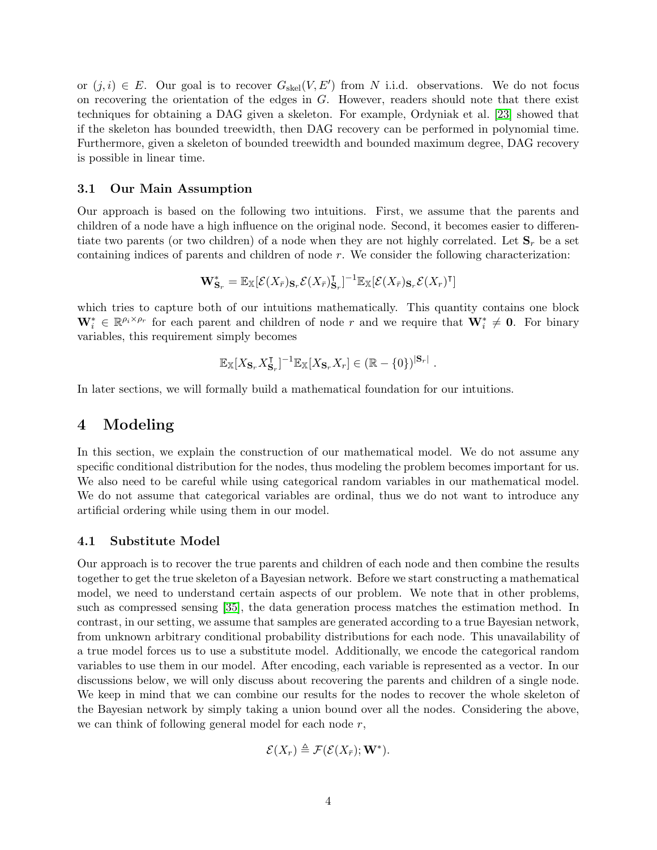or  $(j, i) \in E$ . Our goal is to recover  $G_{\text{skel}}(V, E')$  from N i.i.d. observations. We do not focus on recovering the orientation of the edges in G. However, readers should note that there exist techniques for obtaining a DAG given a skeleton. For example, Ordyniak et al. [\[23\]](#page-13-8) showed that if the skeleton has bounded treewidth, then DAG recovery can be performed in polynomial time. Furthermore, given a skeleton of bounded treewidth and bounded maximum degree, DAG recovery is possible in linear time.

#### 3.1 Our Main Assumption

Our approach is based on the following two intuitions. First, we assume that the parents and children of a node have a high influence on the original node. Second, it becomes easier to differentiate two parents (or two children) of a node when they are not highly correlated. Let  $S_r$  be a set containing indices of parents and children of node  $r$ . We consider the following characterization:

$$
\mathbf{W}_{\mathbf{S}_r}^* = \mathbb{E}_{\mathbb{X}}[\mathcal{E}(X_{\bar{r}})_{\mathbf{S}_r}\mathcal{E}(X_{\bar{r}})_{\mathbf{S}_r}^{\intercal}]^{-1}\mathbb{E}_{\mathbb{X}}[\mathcal{E}(X_{\bar{r}})_{\mathbf{S}_r}\mathcal{E}(X_r)^{\intercal}]
$$

which tries to capture both of our intuitions mathematically. This quantity contains one block  $\mathbf{W}_i^* \in \mathbb{R}^{\rho_i \times \rho_r}$  for each parent and children of node r and we require that  $\mathbf{W}_i^* \neq \mathbf{0}$ . For binary variables, this requirement simply becomes

$$
\mathbb{E}_{\mathbb{X}}[X_{\mathbf{S}_r} X_{\mathbf{S}_r}^\intercal]^{-1} \mathbb{E}_{\mathbb{X}}[X_{\mathbf{S}_r} X_r] \in (\mathbb{R} - \{0\})^{|\mathbf{S}_r|}.
$$

In later sections, we will formally build a mathematical foundation for our intuitions.

### 4 Modeling

In this section, we explain the construction of our mathematical model. We do not assume any specific conditional distribution for the nodes, thus modeling the problem becomes important for us. We also need to be careful while using categorical random variables in our mathematical model. We do not assume that categorical variables are ordinal, thus we do not want to introduce any artificial ordering while using them in our model.

#### 4.1 Substitute Model

Our approach is to recover the true parents and children of each node and then combine the results together to get the true skeleton of a Bayesian network. Before we start constructing a mathematical model, we need to understand certain aspects of our problem. We note that in other problems, such as compressed sensing [\[35\]](#page-13-9), the data generation process matches the estimation method. In contrast, in our setting, we assume that samples are generated according to a true Bayesian network, from unknown arbitrary conditional probability distributions for each node. This unavailability of a true model forces us to use a substitute model. Additionally, we encode the categorical random variables to use them in our model. After encoding, each variable is represented as a vector. In our discussions below, we will only discuss about recovering the parents and children of a single node. We keep in mind that we can combine our results for the nodes to recover the whole skeleton of the Bayesian network by simply taking a union bound over all the nodes. Considering the above, we can think of following general model for each node  $r$ ,

$$
\mathcal{E}(X_r) \triangleq \mathcal{F}(\mathcal{E}(X_{\bar{r}}); \mathbf{W}^*).
$$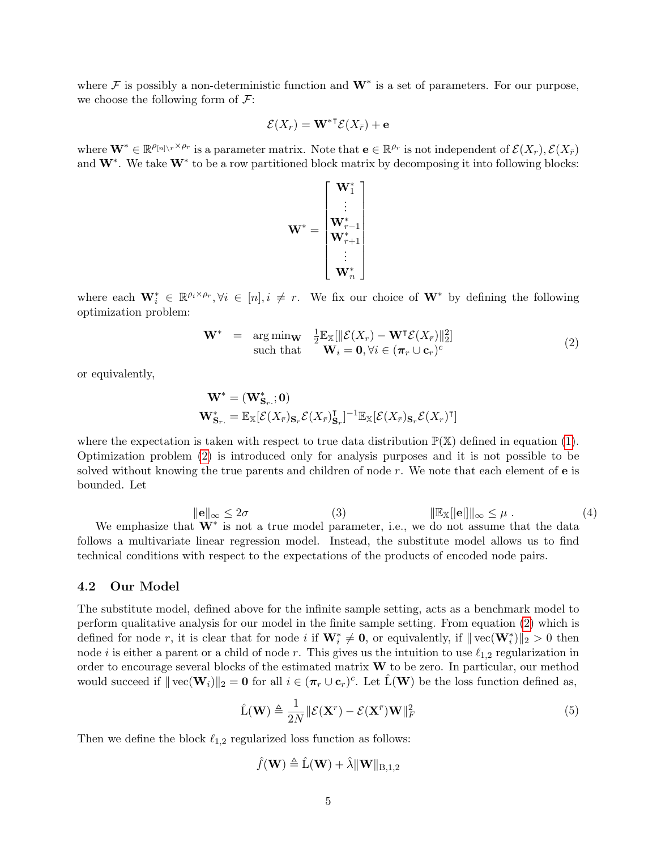where  $\mathcal F$  is possibly a non-deterministic function and  $\mathbf W^*$  is a set of parameters. For our purpose, we choose the following form of  $\mathcal{F}$ :

$$
\mathcal{E}(X_r) = \mathbf{W}^{*T} \mathcal{E}(X_{\bar{r}}) + \mathbf{e}
$$

where  $\mathbf{W}^* \in \mathbb{R}^{\rho_{[n]}\setminus r \times \rho_r}$  is a parameter matrix. Note that  $\mathbf{e} \in \mathbb{R}^{\rho_r}$  is not independent of  $\mathcal{E}(X_r)$ ,  $\mathcal{E}(X_{\bar{r}})$ and  $W^*$ . We take  $W^*$  to be a row partitioned block matrix by decomposing it into following blocks:

<span id="page-4-0"></span>
$$
\mathbf{W}^* = \begin{bmatrix} \mathbf{W}_1^* \\ \vdots \\ \mathbf{W}_{r+1}^* \\ \mathbf{W}_{r+1}^* \\ \vdots \\ \mathbf{W}_{n}^* \end{bmatrix}
$$

where each  $\mathbf{W}_i^* \in \mathbb{R}^{p_i \times p_r}, \forall i \in [n], i \neq r$ . We fix our choice of  $\mathbf{W}^*$  by defining the following optimization problem:

$$
\mathbf{W}^* = \underset{\text{such that}}{\arg \min \mathbf{w}} \quad \frac{1}{2} \mathbb{E}_{\mathbb{X}}[\|\mathcal{E}(X_r) - \mathbf{W}^\intercal \mathcal{E}(X_{\bar{r}})\|_2^2] \tag{2}
$$
\n
$$
\text{(2)}
$$

or equivalently,

$$
\begin{aligned} \mathbf{W}^* &= (\mathbf{W}_{\mathbf{S}_r,\cdot}^*; \mathbf{0}) \\ \mathbf{W}_{\mathbf{S}_r\cdot}^* &= \mathbb{E}_{\mathbb{X}}[\mathcal{E}(X_{\bar{r}})_{\mathbf{S}_r}\mathcal{E}(X_{\bar{r}})_{\mathbf{S}_r}^\intercal]^{-1} \mathbb{E}_{\mathbb{X}}[\mathcal{E}(X_{\bar{r}})_{\mathbf{S}_r}\mathcal{E}(X_r)^\intercal] \end{aligned}
$$

where the expectation is taken with respect to true data distribution  $\mathbb{P}(\mathbb{X})$  defined in equation [\(1\)](#page-0-0). Optimization problem [\(2\)](#page-4-0) is introduced only for analysis purposes and it is not possible to be solved without knowing the true parents and children of node  $r$ . We note that each element of  $e$  is bounded. Let

<span id="page-4-3"></span><span id="page-4-2"></span>
$$
\|\mathbf{e}\|_{\infty} \le 2\sigma \qquad (3) \qquad \qquad \|\mathbb{E}_{\mathbb{X}}[\|\mathbf{e}]\|_{\infty} \le \mu \ . \tag{4}
$$

We emphasize that  $W^*$  is not a true model parameter, i.e., we do not assume that the data follows a multivariate linear regression model. Instead, the substitute model allows us to find technical conditions with respect to the expectations of the products of encoded node pairs.

#### 4.2 Our Model

The substitute model, defined above for the infinite sample setting, acts as a benchmark model to perform qualitative analysis for our model in the finite sample setting. From equation [\(2\)](#page-4-0) which is defined for node r, it is clear that for node i if  $\mathbf{W}_i^* \neq \mathbf{0}$ , or equivalently, if  $\|\text{vec}(\mathbf{W}_i^*)\|_2 > 0$  then node i is either a parent or a child of node r. This gives us the intuition to use  $\ell_{1,2}$  regularization in order to encourage several blocks of the estimated matrix W to be zero. In particular, our method would succeed if  $\| \text{vec}(\mathbf{W}_i) \|_2 = \mathbf{0}$  for all  $i \in (\pi_r \cup \mathbf{c}_r)^c$ . Let  $\hat{L}(\mathbf{W})$  be the loss function defined as,

$$
\hat{\mathbf{L}}(\mathbf{W}) \triangleq \frac{1}{2N} \|\mathcal{E}(\mathbf{X}^r) - \mathcal{E}(\mathbf{X}^{\bar{r}})\mathbf{W}\|_F^2
$$
\n(5)

Then we define the block  $\ell_{1,2}$  regularized loss function as follows:

<span id="page-4-1"></span>
$$
\hat{f}(\mathbf{W}) \triangleq \hat{L}(\mathbf{W}) + \hat{\lambda} \|\mathbf{W}\|_{\text{B},1,2}
$$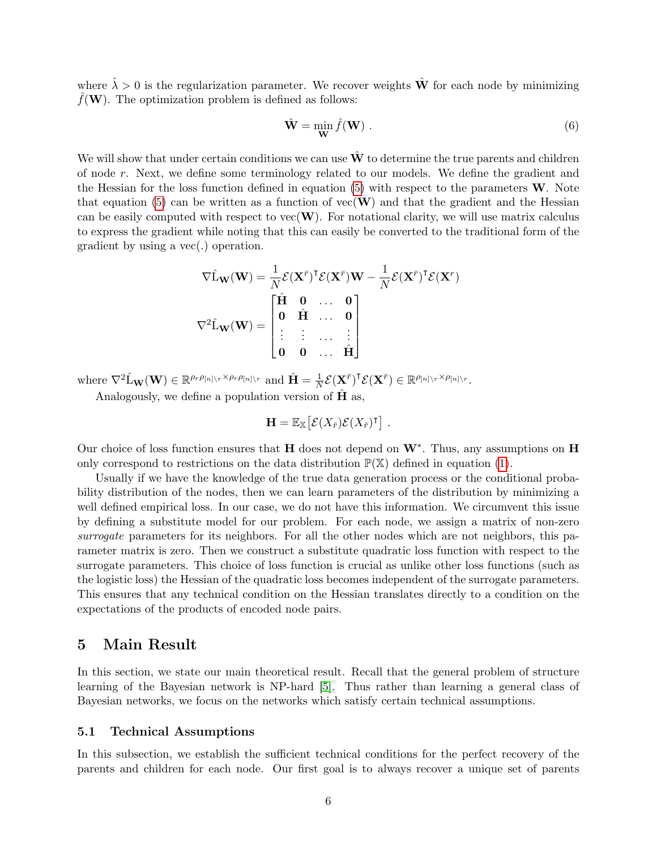where  $\hat{\lambda} > 0$  is the regularization parameter. We recover weights  $\hat{\mathbf{W}}$  for each node by minimizing  $\hat{f}(\mathbf{W})$ . The optimization problem is defined as follows:

<span id="page-5-0"></span>
$$
\hat{\mathbf{W}} = \min_{\mathbf{W}} \hat{f}(\mathbf{W}) .
$$
 (6)

We will show that under certain conditions we can use  $\hat{W}$  to determine the true parents and children of node r. Next, we define some terminology related to our models. We define the gradient and the Hessian for the loss function defined in equation  $(5)$  with respect to the parameters  $W$ . Note that equation [\(5\)](#page-4-1) can be written as a function of  $vec(W)$  and that the gradient and the Hessian can be easily computed with respect to  $\text{vec}(\mathbf{W})$ . For notational clarity, we will use matrix calculus to express the gradient while noting that this can easily be converted to the traditional form of the gradient by using a vec(.) operation.

$$
\nabla \hat{\mathbf{L}}_{\mathbf{W}}(\mathbf{W}) = \frac{1}{N} \mathcal{E}(\mathbf{X}^{\bar{r}})^{\mathsf{T}} \mathcal{E}(\mathbf{X}^{\bar{r}}) \mathbf{W} - \frac{1}{N} \mathcal{E}(\mathbf{X}^{\bar{r}})^{\mathsf{T}} \mathcal{E}(\mathbf{X}^{r})
$$

$$
\nabla^2 \hat{\mathbf{L}}_{\mathbf{W}}(\mathbf{W}) = \begin{bmatrix} \hat{\mathbf{H}} & \mathbf{0} & \dots & \mathbf{0} \\ \mathbf{0} & \hat{\mathbf{H}} & \dots & \mathbf{0} \\ \vdots & \vdots & \dots & \vdots \\ \mathbf{0} & \mathbf{0} & \dots & \hat{\mathbf{H}} \end{bmatrix}
$$

where  $\nabla^2 \hat{\mathbf{L}}_{\mathbf{W}}(\mathbf{W}) \in \mathbb{R}^{\rho_r \rho_{[n] \setminus r} \times \rho_r \rho_{[n] \setminus r}}$  and  $\hat{\mathbf{H}} = \frac{1}{N}$  $\frac{1}{N} \mathcal{E}(\mathbf{X}^{\bar{r}})^{\intercal} \mathcal{E}(\mathbf{X}^{\bar{r}}) \in \mathbb{R}^{\rho_{[n] \setminus r} \times \rho_{[n] \setminus r}}.$ 

Analogously, we define a population version of  $\hat{H}$  as,

$$
\mathbf{H} = \mathbb{E}_{\mathbb{X}} \big[ \mathcal{E}(X_{\bar{r}}) \mathcal{E}(X_{\bar{r}})^{\mathsf{T}} \big] .
$$

Our choice of loss function ensures that  $H$  does not depend on  $W^*$ . Thus, any assumptions on  $H$ only correspond to restrictions on the data distribution  $\mathbb{P}(\mathbb{X})$  defined in equation [\(1\)](#page-0-0).

Usually if we have the knowledge of the true data generation process or the conditional probability distribution of the nodes, then we can learn parameters of the distribution by minimizing a well defined empirical loss. In our case, we do not have this information. We circumvent this issue by defining a substitute model for our problem. For each node, we assign a matrix of non-zero surrogate parameters for its neighbors. For all the other nodes which are not neighbors, this parameter matrix is zero. Then we construct a substitute quadratic loss function with respect to the surrogate parameters. This choice of loss function is crucial as unlike other loss functions (such as the logistic loss) the Hessian of the quadratic loss becomes independent of the surrogate parameters. This ensures that any technical condition on the Hessian translates directly to a condition on the expectations of the products of encoded node pairs.

### 5 Main Result

In this section, we state our main theoretical result. Recall that the general problem of structure learning of the Bayesian network is NP-hard [\[5\]](#page-12-11). Thus rather than learning a general class of Bayesian networks, we focus on the networks which satisfy certain technical assumptions.

### 5.1 Technical Assumptions

In this subsection, we establish the sufficient technical conditions for the perfect recovery of the parents and children for each node. Our first goal is to always recover a unique set of parents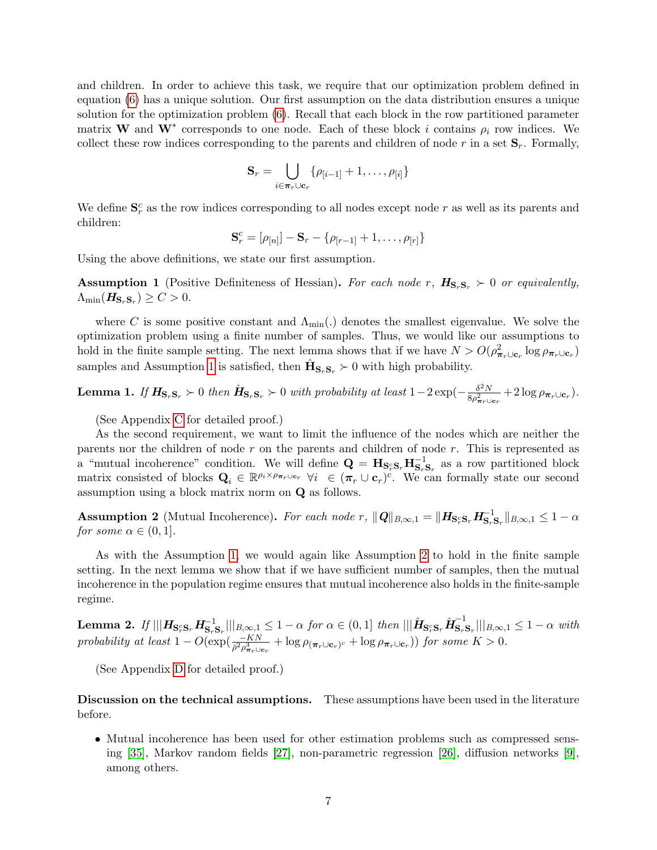and children. In order to achieve this task, we require that our optimization problem defined in equation [\(6\)](#page-5-0) has a unique solution. Our first assumption on the data distribution ensures a unique solution for the optimization problem [\(6\)](#page-5-0). Recall that each block in the row partitioned parameter matrix W and W<sup>\*</sup> corresponds to one node. Each of these block i contains  $\rho_i$  row indices. We collect these row indices corresponding to the parents and children of node r in a set  $S_r$ . Formally,

$$
\mathbf{S}_r = \bigcup_{i \in \pi_r \cup \mathbf{c}_r} \{ \rho_{[i-1]} + 1, \dots, \rho_{[i]} \}
$$

We define  $\mathbf{S}_r^c$  as the row indices corresponding to all nodes except node r as well as its parents and children:

$$
\mathbf{S}_r^c = [\rho_{[n]}] - \mathbf{S}_r - \{ \rho_{[r-1]} + 1, \dots, \rho_{[r]} \}
$$

Using the above definitions, we state our first assumption.

<span id="page-6-0"></span>**Assumption 1** (Positive Definiteness of Hessian). For each node r,  $H_{S_rS_r} > 0$  or equivalently,  $\Lambda_{\text{min}}(\mathbf{\mathit{H}}_{\mathbf{S}_{r} \mathbf{S}_{r}}) \geq C > 0.$ 

where C is some positive constant and  $\Lambda_{\min}$ . denotes the smallest eigenvalue. We solve the optimization problem using a finite number of samples. Thus, we would like our assumptions to hold in the finite sample setting. The next lemma shows that if we have  $N > O(\rho_{\pi_r \cup c_r}^2 \log \rho_{\pi_r \cup c_r})$ samples and Assumption [1](#page-6-0) is satisfied, then  $\hat{\mathbf{H}}_{\mathbf{S}_r\mathbf{S}_r} \succ 0$  with high probability.

<span id="page-6-2"></span>**Lemma 1.** If  $H_{\mathbf{S}_r\mathbf{S}_r} \succ 0$  then  $\hat{H}_{\mathbf{S}_r\mathbf{S}_r} \succ 0$  with probability at least  $1-2\exp(-\frac{\delta^2 N}{8\sigma^2})$  $\frac{\partial^2 N}{\partial \rho_{\boldsymbol{\pi}_r \cup \mathbf{c}_r}^2} + 2 \log \rho_{\boldsymbol{\pi}_r \cup \mathbf{c}_r}).$ 

(See Appendix [C](#page-15-0) for detailed proof.)

As the second requirement, we want to limit the influence of the nodes which are neither the parents nor the children of node r on the parents and children of node r. This is represented as a "mutual incoherence" condition. We will define  $\mathbf{Q} = \mathbf{H}_{\mathbf{S}_r\mathbf{S}_r}\mathbf{H}_{\mathbf{S}_r\mathbf{S}_r}^{-1}$  as a row partitioned block matrix consisted of blocks  $\mathbf{Q}_i \in \mathbb{R}^{\rho_i \times \rho_{\pi_r \cup \mathbf{c}_r}} \forall i \in (\pi_r \cup \mathbf{c}_r)^c$ . We can formally state our second assumption using a block matrix norm on Q as follows.

<span id="page-6-1"></span>Assumption 2 (Mutual Incoherence). For each node r,  $||Q||_{B,\infty,1} = ||H_{S_r^cS_r} H_{S_r^cS_r}^{-1} ||_{B,\infty,1} \leq 1 - \alpha$ for some  $\alpha \in (0,1]$ .

As with the Assumption [1,](#page-6-0) we would again like Assumption [2](#page-6-1) to hold in the finite sample setting. In the next lemma we show that if we have sufficient number of samples, then the mutual incoherence in the population regime ensures that mutual incoherence also holds in the finite-sample regime.

<span id="page-6-3"></span>Lemma 2. If  $\vert\vert\vert \bm{H}_{\mathbf{S}_r^c\mathbf{S}_r}\bm{H}_{\mathbf{S}_r\mathbf{S}_r}^{-1}\vert\vert\vert_{B,\infty,1}\leq 1-\alpha$  for  $\alpha\in(0,1]$  then  $\vert\vert\vert\hat{\bm{H}}_{\mathbf{S}_r^c\mathbf{S}_r}\hat{\bm{H}}_{\mathbf{S}_r}^{-1}$  $\|\mathbf{s}_r\mathbf{s}_r\|\|_{B,\infty,1} \leq 1-\alpha$  with probability at least  $1 - O(\exp(\frac{-KN}{\bar{\rho}^2 \rho_{\pi_r \cup \mathbf{c}_r}^3} + \log \rho_{(\pi_r \cup \mathbf{c}_r)^c} + \log \rho_{\pi_r \cup \mathbf{c}_r}))$  for some  $K > 0$ .

(See Appendix [D](#page-16-0) for detailed proof.)

Discussion on the technical assumptions. These assumptions have been used in the literature before.

• Mutual incoherence has been used for other estimation problems such as compressed sensing [\[35\]](#page-13-9), Markov random fields [\[27\]](#page-13-10), non-parametric regression [\[26\]](#page-13-11), diffusion networks [\[9\]](#page-12-13), among others.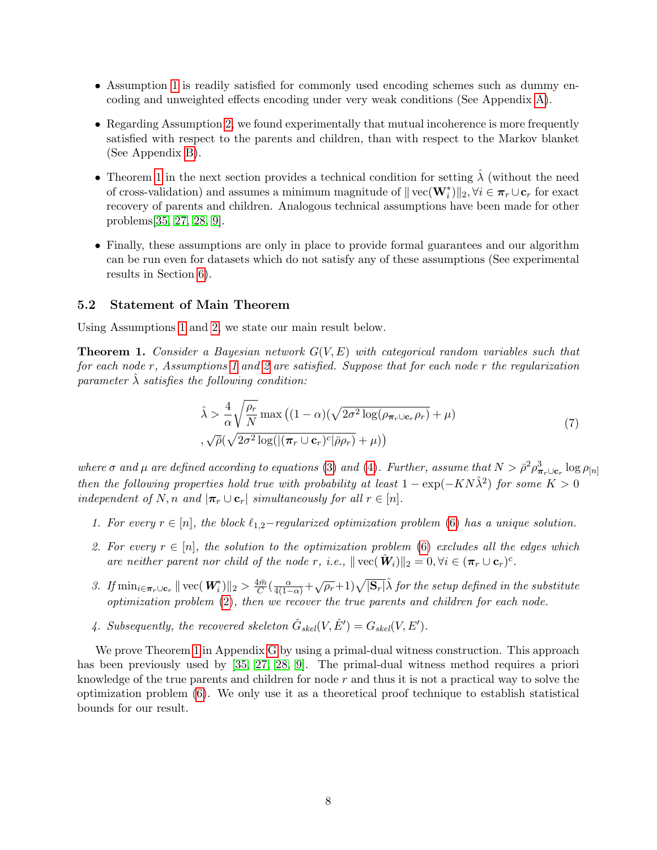- Assumption [1](#page-6-0) is readily satisfied for commonly used encoding schemes such as dummy encoding and unweighted effects encoding under very weak conditions (See Appendix [A\)](#page-14-0).
- Regarding Assumption [2,](#page-6-1) we found experimentally that mutual incoherence is more frequently satisfied with respect to the parents and children, than with respect to the Markov blanket (See Appendix [B\)](#page-15-1).
- Theorem [1](#page-7-0) in the next section provides a technical condition for setting  $\hat{\lambda}$  (without the need of cross-validation) and assumes a minimum magnitude of  $\|\text{vec}(\mathbf{W}_i^*)\|_2, \forall i \in \pi_r \cup \mathbf{c}_r$  for exact recovery of parents and children. Analogous technical assumptions have been made for other problems[\[35,](#page-13-9) [27,](#page-13-10) [28,](#page-13-12) [9\]](#page-12-13).
- Finally, these assumptions are only in place to provide formal guarantees and our algorithm can be run even for datasets which do not satisfy any of these assumptions (See experimental results in Section [6\)](#page-8-0).

### 5.2 Statement of Main Theorem

Using Assumptions [1](#page-6-0) and [2,](#page-6-1) we state our main result below.

<span id="page-7-0"></span>**Theorem 1.** Consider a Bayesian network  $G(V, E)$  with categorical random variables such that for each node r, Assumptions [1](#page-6-0) and [2](#page-6-1) are satisfied. Suppose that for each node r the regularization parameter  $\lambda$  satisfies the following condition:

<span id="page-7-1"></span>
$$
\hat{\lambda} > \frac{4}{\alpha} \sqrt{\frac{\rho_r}{N}} \max \left( (1 - \alpha) (\sqrt{2\sigma^2 \log(\rho_{\pi_r \cup \mathbf{c}_r} \rho_r)} + \mu) \right)
$$
  
, 
$$
\sqrt{\bar{\rho}} (\sqrt{2\sigma^2 \log((\pi_r \cup \mathbf{c}_r)^c |\bar{\rho} \rho_r)} + \mu))
$$
 (7)

where  $\sigma$  and  $\mu$  are defined according to equations [\(3\)](#page-4-2) and [\(4\)](#page-4-3). Further, assume that  $N > \bar{\rho}^2 \rho_{\pi_r \cup \mathbf{c}_r}^3 \log \rho_{[n]}$ then the following properties hold true with probability at least  $1 - \exp(-KN\hat{\lambda}^2)$  for some  $K > 0$ independent of N, n and  $|\pi_r \cup \mathbf{c}_r|$  simultaneously for all  $r \in [n]$ .

- 1. For every  $r \in [n]$ , the block  $\ell_{1,2}$ -regularized optimization problem [\(6\)](#page-5-0) has a unique solution.
- 2. For every  $r \in [n]$ , the solution to the optimization problem [\(6\)](#page-5-0) excludes all the edges which are neither parent nor child of the node r, i.e.,  $\|\text{vec}(\hat{\mathbf{W}}_i)\|_2 = 0, \forall i \in (\pi_r \cup \mathbf{c}_r)^c$ .
- 3. If  $\min_{i \in \pi_r \cup \mathbf{c}_r} || \text{vec}(\mathbf{W}_i^*) ||_2 > \frac{4\bar{m}}{C}$  $\frac{d\bar{m}}{C}(\frac{\alpha}{4(1-\alpha)}+\sqrt{\rho_r}+1)\sqrt{|\mathbf{S}_r|}\hat{\lambda}$  for the setup defined in the substitute optimization problem [\(2\)](#page-4-0), then we recover the true parents and children for each node.
- 4. Subsequently, the recovered skeleton  $\hat{G}_{skel}(V, \hat{E}') = G_{skel}(V, E').$

We prove Theorem [1](#page-7-0) in Appendix [G](#page-22-0) by using a primal-dual witness construction. This approach has been previously used by [\[35,](#page-13-9) [27,](#page-13-10) [28,](#page-13-12) [9\]](#page-12-13). The primal-dual witness method requires a priori knowledge of the true parents and children for node  $r$  and thus it is not a practical way to solve the optimization problem [\(6\)](#page-5-0). We only use it as a theoretical proof technique to establish statistical bounds for our result.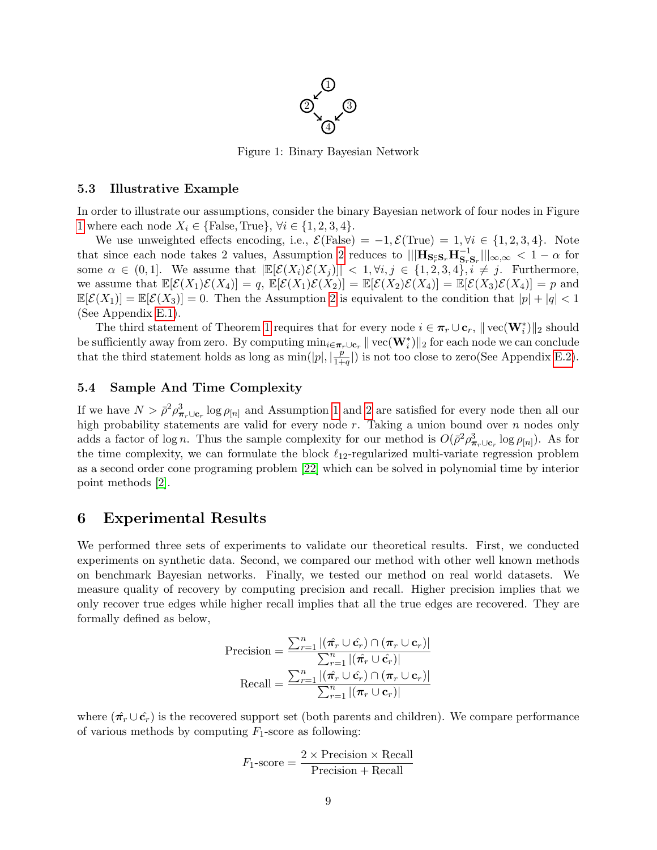

Figure 1: Binary Bayesian Network

#### <span id="page-8-1"></span>5.3 Illustrative Example

In order to illustrate our assumptions, consider the binary Bayesian network of four nodes in Figure [1](#page-8-1) where each node  $X_i \in \{\text{False}, \text{True}\}, \forall i \in \{1, 2, 3, 4\}.$ 

We use unweighted effects encoding, i.e.,  $\mathcal{E}(\text{False}) = -1, \mathcal{E}(\text{True}) = 1, \forall i \in \{1, 2, 3, 4\}.$  Note that since each node takes [2](#page-6-1) values, Assumption 2 reduces to  $\|\mathbf{H}_{\mathbf{S}_r\mathbf{S}_r}\mathbf{H}_{\mathbf{S}_r\mathbf{S}_r}^{-1}\|_{\infty,\infty} < 1 - \alpha$  for some  $\alpha \in (0,1]$ . We assume that  $\left| \mathbb{E}[\mathcal{E}(X_i)\mathcal{E}(X_j)] \right| < 1, \forall i, j \in \{1,2,3,4\}, i \neq j$ . Furthermore, we assume that  $\mathbb{E}[\mathcal{E}(X_1)\mathcal{E}(X_4)] = q$ ,  $\mathbb{E}[\mathcal{E}(X_1)\mathcal{E}(X_2)] = \mathbb{E}[\mathcal{E}(X_2)\mathcal{E}(X_4)] = \mathbb{E}[\mathcal{E}(X_3)\mathcal{E}(X_4)] = p$  and  $\mathbb{E}[\mathcal{E}(X_1)] = \mathbb{E}[\mathcal{E}(X_3)] = 0$ . Then the Assumption [2](#page-6-1) is equivalent to the condition that  $|p| + |q| < 1$ (See Appendix [E.1\)](#page-20-0).

The third statement of Theorem [1](#page-7-0) requires that for every node  $i \in \pi_r \cup \mathbf{c}_r$ ,  $\|\text{vec}(\mathbf{W}_i^*)\|_2$  should be sufficiently away from zero. By computing  $\min_{i \in \pi_r \cup \mathbf{c}_r} \| \text{vec}(\mathbf{W}_i^*) \|_2$  for each node we can conclude that the third statement holds as long as  $\min(|p|, \frac{p}{1+r})$  $\frac{p}{1+q}$ ) is not too close to zero(See Appendix [E.2\)](#page-20-1).

### 5.4 Sample And Time Complexity

If we have  $N > \bar{\rho}^2 \rho_{\pi_r \cup \mathbf{c}_r}^3 \log \rho_{[n]}$  and Assumption [1](#page-6-0) and [2](#page-6-1) are satisfied for every node then all our high probability statements are valid for every node  $r$ . Taking a union bound over  $n$  nodes only adds a factor of log *n*. Thus the sample complexity for our method is  $O(\bar{\rho}^2 \rho_{\pi_r \cup \mathbf{c}_r}^3 \log \rho_{[n]})$ . As for the time complexity, we can formulate the block  $\ell_{12}$ -regularized multi-variate regression problem as a second order cone programing problem [\[22\]](#page-13-13) which can be solved in polynomial time by interior point methods [\[2\]](#page-11-2).

## <span id="page-8-0"></span>6 Experimental Results

We performed three sets of experiments to validate our theoretical results. First, we conducted experiments on synthetic data. Second, we compared our method with other well known methods on benchmark Bayesian networks. Finally, we tested our method on real world datasets. We measure quality of recovery by computing precision and recall. Higher precision implies that we only recover true edges while higher recall implies that all the true edges are recovered. They are formally defined as below,

$$
\text{Precision} = \frac{\sum_{r=1}^{n} |(\hat{\pi_r} \cup \hat{\mathbf{c}}_r) \cap (\pi_r \cup \mathbf{c}_r)|}{\sum_{r=1}^{n} |(\hat{\pi_r} \cup \hat{\mathbf{c}}_r)|}
$$

$$
\text{Recall} = \frac{\sum_{r=1}^{n} |(\hat{\pi_r} \cup \hat{\mathbf{c}}_r) \cap (\pi_r \cup \mathbf{c}_r)|}{\sum_{r=1}^{n} |(\pi_r \cup \mathbf{c}_r)|}
$$

where  $(\hat{\pi_r} \cup \hat{\mathbf{c}_r})$  is the recovered support set (both parents and children). We compare performance of various methods by computing  $F_1$ -score as following:

$$
F_1\text{-score} = \frac{2 \times \text{Precision} \times \text{Recall}}{\text{Precision} + \text{Recall}}
$$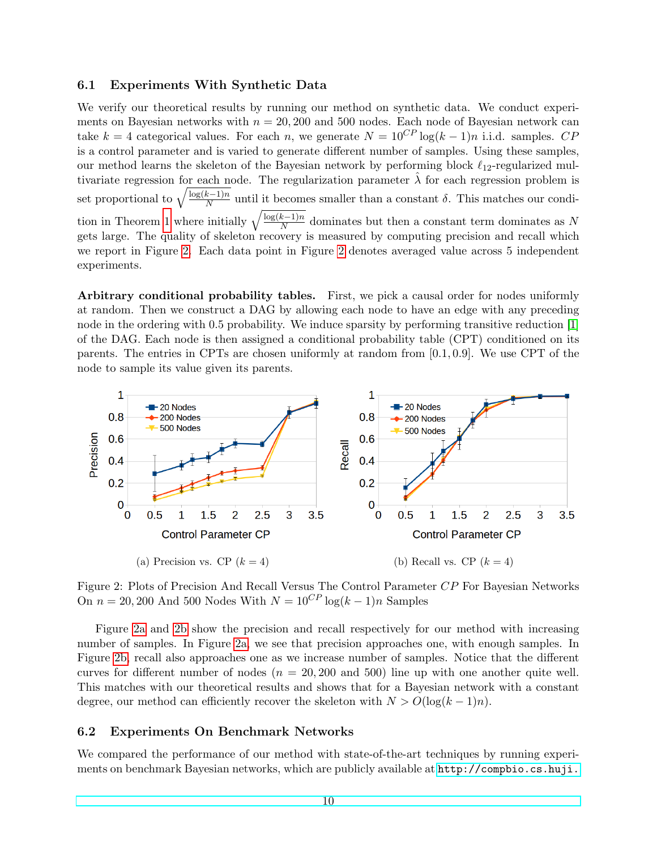### 6.1 Experiments With Synthetic Data

We verify our theoretical results by running our method on synthetic data. We conduct experiments on Bayesian networks with  $n = 20,200$  and 500 nodes. Each node of Bayesian network can take k = 4 categorical values. For each n, we generate  $N = 10^{CP} \log((k-1)n)$  i.i.d. samples. CP is a control parameter and is varied to generate different number of samples. Using these samples, our method learns the skeleton of the Bayesian network by performing block  $\ell_{12}$ -regularized multivariate regression for each node. The regularization parameter  $\hat{\lambda}$  for each regression problem is set proportional to  $\sqrt{\frac{\log(k-1)n}{N}}$  $\frac{\kappa-1}{N}$  until it becomes smaller than a constant  $\delta$ . This matches our condi-tion in Theorem [1](#page-7-0) where initially  $\sqrt{\frac{\log(k-1)n}{N}}$  $\frac{k-1}{N}$  dominates but then a constant term dominates as N gets large. The quality of skeleton recovery is measured by computing precision and recall which we report in Figure [2.](#page-9-0) Each data point in Figure [2](#page-9-0) denotes averaged value across 5 independent experiments.

Arbitrary conditional probability tables. First, we pick a causal order for nodes uniformly at random. Then we construct a DAG by allowing each node to have an edge with any preceding node in the ordering with 0.5 probability. We induce sparsity by performing transitive reduction [\[1\]](#page-11-3) of the DAG. Each node is then assigned a conditional probability table (CPT) conditioned on its parents. The entries in CPTs are chosen uniformly at random from  $[0.1, 0.9]$ . We use CPT of the node to sample its value given its parents.

<span id="page-9-0"></span>

Figure 2: Plots of Precision And Recall Versus The Control Parameter CP For Bayesian Networks On  $n = 20,200$  And 500 Nodes With  $N = 10^{CP} \log((k-1)n)$  Samples

Figure [2a](#page-9-0) and [2b](#page-9-0) show the precision and recall respectively for our method with increasing number of samples. In Figure [2a,](#page-9-0) we see that precision approaches one, with enough samples. In Figure [2b,](#page-9-0) recall also approaches one as we increase number of samples. Notice that the different curves for different number of nodes  $(n = 20, 200, 200)$  line up with one another quite well. This matches with our theoretical results and shows that for a Bayesian network with a constant degree, our method can efficiently recover the skeleton with  $N > O(\log(k-1)n)$ .

### 6.2 Experiments On Benchmark Networks

We compared the performance of our method with state-of-the-art techniques by running experiments on benchmark Bayesian networks, which are publicly available at [http://compbio.cs.huji.](http://compbio.cs.huji.ac.il/Repository/networks.html)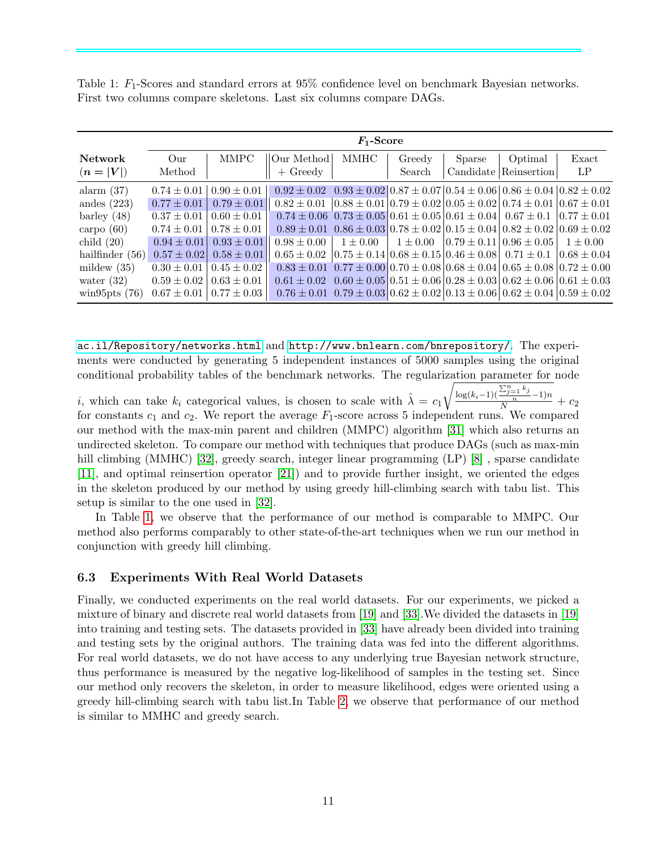<span id="page-10-0"></span>Table 1:  $F_1$ -Scores and standard errors at 95% confidence level on benchmark Bayesian networks. First two columns compare skeletons. Last six columns compare DAGs.

|                               | $F_1$ -Score           |                 |                                                                                                                               |              |                  |        |                                                                                                                               |              |
|-------------------------------|------------------------|-----------------|-------------------------------------------------------------------------------------------------------------------------------|--------------|------------------|--------|-------------------------------------------------------------------------------------------------------------------------------|--------------|
| <b>Network</b><br>$(n =  V )$ | $_{\rm Our}$<br>Method | <b>MMPC</b>     | Our Method <br>$+$ Greedy                                                                                                     | MMHC         | Greedy<br>Search | Sparse | Optimal<br>Candidate Reinsertion                                                                                              | Exact<br>LP  |
| alarm $(37)$                  | $0.74 \pm 0.01$        | $0.90 \pm 0.01$ | $0.92 \pm 0.02$ $0.93 \pm 0.02$ $0.87 \pm 0.07$ $0.54 \pm 0.06$ $0.86 \pm 0.04$ $0.82 \pm 0.02$                               |              |                  |        |                                                                                                                               |              |
| andes $(223)$                 | $0.77 \pm 0.01$        | $0.79 \pm 0.01$ | $0.82 \pm 0.01$                                                                                                               |              |                  |        | $(0.88 \pm 0.01)$ $0.79 \pm 0.02$ $(0.05 \pm 0.02)$ $0.74 \pm 0.01$ $(0.67 \pm 0.01)$                                         |              |
| barley $(48)$                 | $0.37 \pm 0.01$        | $0.60 \pm 0.01$ | $0.74 \pm 0.06$ $0.73 \pm 0.05$ $0.61 \pm 0.05$ $0.61 \pm 0.04$ $0.67 \pm 0.1$ $0.77 \pm 0.01$                                |              |                  |        |                                                                                                                               |              |
| carpo $(60)$                  | $0.74 \pm 0.01$        | $0.78 \pm 0.01$ |                                                                                                                               |              |                  |        | $0.89 \pm 0.01 \,   \, 0.86 \pm 0.03 \,   \, 0.78 \pm 0.02 \,   \, 0.15 \pm 0.04 \,   \, 0.82 \pm 0.02 \,   \, 0.69 \pm 0.02$ |              |
| child $(20)$                  | $0.94 \pm 0.01$        | $0.93 \pm 0.01$ | $0.98 \pm 0.00$                                                                                                               | $1 \pm 0.00$ |                  |        | $1 \pm 0.00$ $\pm 0.79 \pm 0.11 \pm 0.96 \pm 0.05$                                                                            | $1 \pm 0.00$ |
| hailfinder $(56)$             | $0.57 \pm 0.02$        | $0.58 \pm 0.01$ | $0.65 \pm 0.02$                                                                                                               |              |                  |        | $(0.75 \pm 0.14) 0.68 \pm 0.15) 0.46 \pm 0.08) 0.71 \pm 0.1$ $(0.68 \pm 0.04)$                                                |              |
| mildew $(35)$                 | $0.30 \pm 0.01$        | $0.45 \pm 0.02$ |                                                                                                                               |              |                  |        | $0.83 \pm 0.01 \,   \, 0.77 \pm 0.00 \,   \, 0.70 \pm 0.08 \,   \, 0.68 \pm 0.04 \,   \, 0.65 \pm 0.08 \,   \, 0.72 \pm 0.00$ |              |
| water $(32)$                  | $0.59 \pm 0.02$        | $0.63 \pm 0.01$ | $0.61 \pm 0.02$ $ 0.60 \pm 0.05 0.51 \pm 0.06 0.28 \pm 0.03 0.62 \pm 0.06 0.61 \pm 0.03$                                      |              |                  |        |                                                                                                                               |              |
| wing 5pts $(76)$              | $0.67 \pm 0.01$        | $0.77 \pm 0.03$ | $0.76 \pm 0.01 \,   \, 0.79 \pm 0.03 \,   \, 0.62 \pm 0.02 \,   \, 0.13 \pm 0.06 \,   \, 0.62 \pm 0.04 \,   \, 0.59 \pm 0.02$ |              |                  |        |                                                                                                                               |              |

[ac.il/Repository/networks.html](http://compbio.cs.huji.ac.il/Repository/networks.html) and <http://www.bnlearn.com/bnrepository/>. The experiments were conducted by generating 5 independent instances of 5000 samples using the original conditional probability tables of the benchmark networks. The regularization parameter for node

i, which can take  $k_i$  categorical values, is chosen to scale with  $\hat{\lambda} = c_1$  $\sqrt{\frac{\log(k_i-1)(\frac{\sum_{j=1}^{n} k_j}{n}-1)n}{N}} + c_2$ for constants  $c_1$  and  $c_2$ . We report the average  $F_1$ -score across 5 independent runs. We compared our method with the max-min parent and children (MMPC) algorithm [\[31\]](#page-13-14) which also returns an undirected skeleton. To compare our method with techniques that produce DAGs (such as max-min hill climbing (MMHC) [\[32\]](#page-13-0), greedy search, integer linear programming (LP) [\[8\]](#page-12-7), sparse candidate [\[11\]](#page-12-2), and optimal reinsertion operator [\[21\]](#page-12-4)) and to provide further insight, we oriented the edges in the skeleton produced by our method by using greedy hill-climbing search with tabu list. This setup is similar to the one used in [\[32\]](#page-13-0).

In Table [1,](#page-10-0) we observe that the performance of our method is comparable to MMPC. Our method also performs comparably to other state-of-the-art techniques when we run our method in conjunction with greedy hill climbing.

### 6.3 Experiments With Real World Datasets

Finally, we conducted experiments on the real world datasets. For our experiments, we picked a mixture of binary and discrete real world datasets from [\[19\]](#page-12-14) and [\[33\]](#page-13-15).We divided the datasets in [\[19\]](#page-12-14) into training and testing sets. The datasets provided in [\[33\]](#page-13-15) have already been divided into training and testing sets by the original authors. The training data was fed into the different algorithms. For real world datasets, we do not have access to any underlying true Bayesian network structure, thus performance is measured by the negative log-likelihood of samples in the testing set. Since our method only recovers the skeleton, in order to measure likelihood, edges were oriented using a greedy hill-climbing search with tabu list.In Table [2,](#page-11-4) we observe that performance of our method is similar to MMHC and greedy search.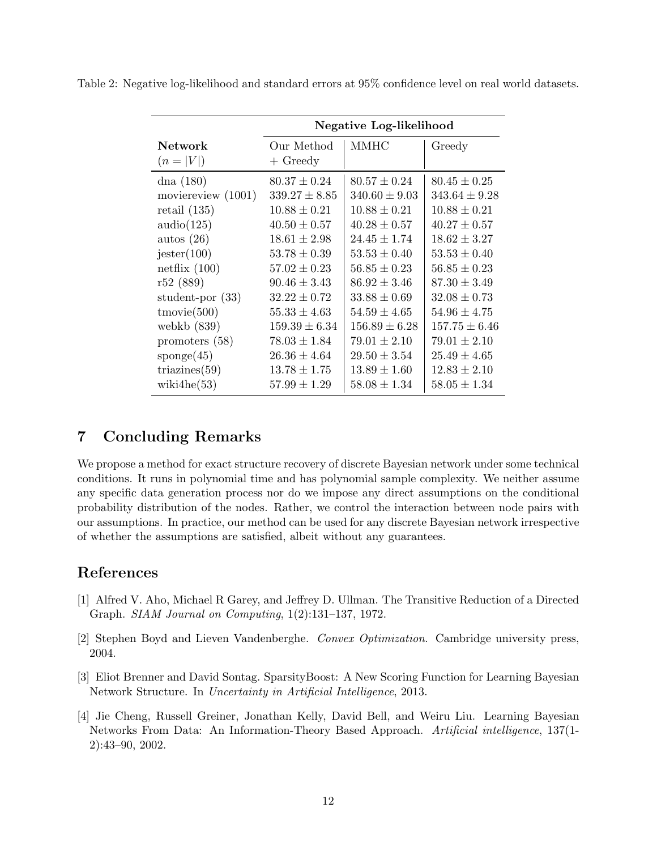<span id="page-11-4"></span>

|  |  |  |  |  |  |  | Table 2: Negative log-likelihood and standard errors at 95% confidence level on real world datasets. |
|--|--|--|--|--|--|--|------------------------------------------------------------------------------------------------------|
|--|--|--|--|--|--|--|------------------------------------------------------------------------------------------------------|

|                     | Negative Log-likelihood |                   |                   |  |
|---------------------|-------------------------|-------------------|-------------------|--|
| <b>Network</b>      | Our Method              | MMHC              | Greedy            |  |
| $(n =  V )$         | $+$ Greedy              |                   |                   |  |
| dna $(180)$         | $80.37 \pm 0.24$        | $80.57 \pm 0.24$  | $80.45 \pm 0.25$  |  |
| moviereview (1001)  | $339.27 \pm 8.85$       | $340.60 \pm 9.03$ | $343.64 \pm 9.28$ |  |
| retail $(135)$      | $10.88 \pm 0.21$        | $10.88 \pm 0.21$  | $10.88 \pm 0.21$  |  |
| audio(125)          | $40.50 \pm 0.57$        | $40.28 \pm 0.57$  | $40.27 \pm 0.57$  |  |
| autos $(26)$        | $18.61 \pm 2.98$        | $24.45 \pm 1.74$  | $18.62 \pm 3.27$  |  |
| jester(100)         | $53.78 \pm 0.39$        | $53.53 \pm 0.40$  | $53.53 \pm 0.40$  |  |
| netflix $(100)$     | $57.02 \pm 0.23$        | $56.85 \pm 0.23$  | $56.85 \pm 0.23$  |  |
| r52(889)            | $90.46 \pm 3.43$        | $86.92 \pm 3.46$  | $87.30 \pm 3.49$  |  |
| student-por $(33)$  | $32.22 \pm 0.72$        | $33.88 \pm 0.69$  | $32.08 \pm 0.73$  |  |
| $t$ movie $(500)$   | $55.33 \pm 4.63$        | $54.59 \pm 4.65$  | $54.96 \pm 4.75$  |  |
| webkb $(839)$       | $159.39 \pm 6.34$       | $156.89 \pm 6.28$ | $157.75 \pm 6.46$ |  |
| promoters $(58)$    | $78.03 \pm 1.84$        | $79.01 \pm 2.10$  | $79.01 \pm 2.10$  |  |
| $\text{sponge}(45)$ | $26.36 \pm 4.64$        | $29.50 \pm 3.54$  | $25.49 \pm 4.65$  |  |
| triazines $(59)$    | $13.78 \pm 1.75$        | $13.89 \pm 1.60$  | $12.83 \pm 2.10$  |  |
| wiki $4he(53)$      | $57.99 \pm 1.29$        | $58.08 \pm 1.34$  | $58.05 \pm 1.34$  |  |

# 7 Concluding Remarks

We propose a method for exact structure recovery of discrete Bayesian network under some technical conditions. It runs in polynomial time and has polynomial sample complexity. We neither assume any specific data generation process nor do we impose any direct assumptions on the conditional probability distribution of the nodes. Rather, we control the interaction between node pairs with our assumptions. In practice, our method can be used for any discrete Bayesian network irrespective of whether the assumptions are satisfied, albeit without any guarantees.

# References

- <span id="page-11-3"></span>[1] Alfred V. Aho, Michael R Garey, and Jeffrey D. Ullman. The Transitive Reduction of a Directed Graph. SIAM Journal on Computing, 1(2):131–137, 1972.
- <span id="page-11-2"></span>[2] Stephen Boyd and Lieven Vandenberghe. Convex Optimization. Cambridge university press, 2004.
- <span id="page-11-1"></span>[3] Eliot Brenner and David Sontag. SparsityBoost: A New Scoring Function for Learning Bayesian Network Structure. In Uncertainty in Artificial Intelligence, 2013.
- <span id="page-11-0"></span>[4] Jie Cheng, Russell Greiner, Jonathan Kelly, David Bell, and Weiru Liu. Learning Bayesian Networks From Data: An Information-Theory Based Approach. Artificial intelligence, 137(1- 2):43–90, 2002.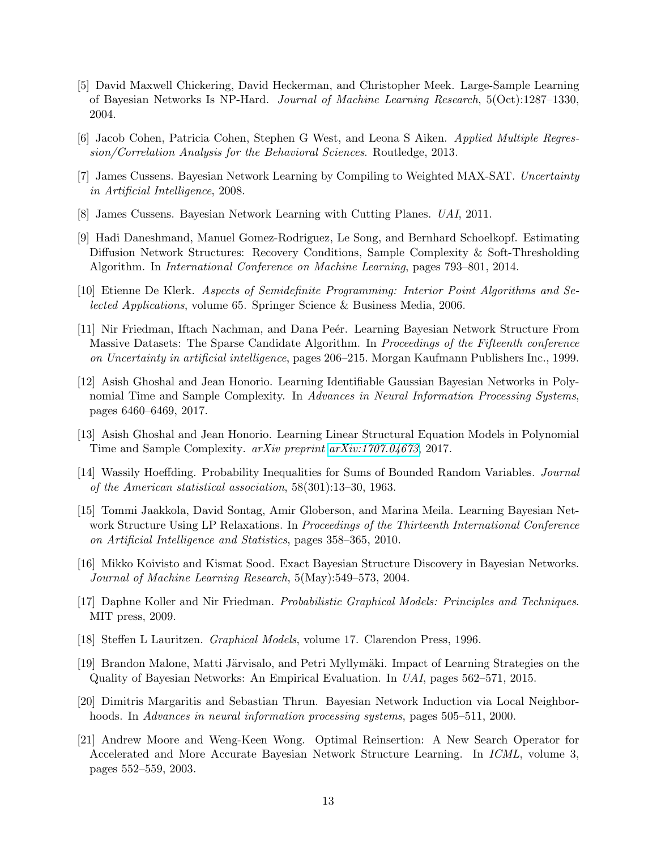- <span id="page-12-11"></span>[5] David Maxwell Chickering, David Heckerman, and Christopher Meek. Large-Sample Learning of Bayesian Networks Is NP-Hard. Journal of Machine Learning Research, 5(Oct):1287–1330, 2004.
- <span id="page-12-12"></span>[6] Jacob Cohen, Patricia Cohen, Stephen G West, and Leona S Aiken. Applied Multiple Regression/Correlation Analysis for the Behavioral Sciences. Routledge, 2013.
- <span id="page-12-6"></span>[7] James Cussens. Bayesian Network Learning by Compiling to Weighted MAX-SAT. Uncertainty in Artificial Intelligence, 2008.
- <span id="page-12-7"></span>[8] James Cussens. Bayesian Network Learning with Cutting Planes. UAI, 2011.
- <span id="page-12-13"></span>[9] Hadi Daneshmand, Manuel Gomez-Rodriguez, Le Song, and Bernhard Schoelkopf. Estimating Diffusion Network Structures: Recovery Conditions, Sample Complexity & Soft-Thresholding Algorithm. In International Conference on Machine Learning, pages 793–801, 2014.
- <span id="page-12-16"></span>[10] Etienne De Klerk. Aspects of Semidefinite Programming: Interior Point Algorithms and Selected Applications, volume 65. Springer Science & Business Media, 2006.
- <span id="page-12-2"></span>[11] Nir Friedman, Iftach Nachman, and Dana Peér. Learning Bayesian Network Structure From Massive Datasets: The Sparse Candidate Algorithm. In Proceedings of the Fifteenth conference on Uncertainty in artificial intelligence, pages 206–215. Morgan Kaufmann Publishers Inc., 1999.
- <span id="page-12-9"></span>[12] Asish Ghoshal and Jean Honorio. Learning Identifiable Gaussian Bayesian Networks in Polynomial Time and Sample Complexity. In Advances in Neural Information Processing Systems. pages 6460–6469, 2017.
- <span id="page-12-10"></span>[13] Asish Ghoshal and Jean Honorio. Learning Linear Structural Equation Models in Polynomial Time and Sample Complexity. arXiv preprint [arXiv:1707.04673](http://arxiv.org/abs/1707.04673), 2017.
- <span id="page-12-15"></span>[14] Wassily Hoeffding. Probability Inequalities for Sums of Bounded Random Variables. Journal of the American statistical association, 58(301):13–30, 1963.
- <span id="page-12-8"></span>[15] Tommi Jaakkola, David Sontag, Amir Globerson, and Marina Meila. Learning Bayesian Network Structure Using LP Relaxations. In Proceedings of the Thirteenth International Conference on Artificial Intelligence and Statistics, pages 358–365, 2010.
- <span id="page-12-5"></span>[16] Mikko Koivisto and Kismat Sood. Exact Bayesian Structure Discovery in Bayesian Networks. Journal of Machine Learning Research, 5(May):549–573, 2004.
- <span id="page-12-0"></span>[17] Daphne Koller and Nir Friedman. Probabilistic Graphical Models: Principles and Techniques. MIT press, 2009.
- <span id="page-12-1"></span>[18] Steffen L Lauritzen. Graphical Models, volume 17. Clarendon Press, 1996.
- <span id="page-12-14"></span>[19] Brandon Malone, Matti Järvisalo, and Petri Myllymäki. Impact of Learning Strategies on the Quality of Bayesian Networks: An Empirical Evaluation. In UAI, pages 562–571, 2015.
- <span id="page-12-3"></span>[20] Dimitris Margaritis and Sebastian Thrun. Bayesian Network Induction via Local Neighborhoods. In Advances in neural information processing systems, pages 505–511, 2000.
- <span id="page-12-4"></span>[21] Andrew Moore and Weng-Keen Wong. Optimal Reinsertion: A New Search Operator for Accelerated and More Accurate Bayesian Network Structure Learning. In ICML, volume 3, pages 552–559, 2003.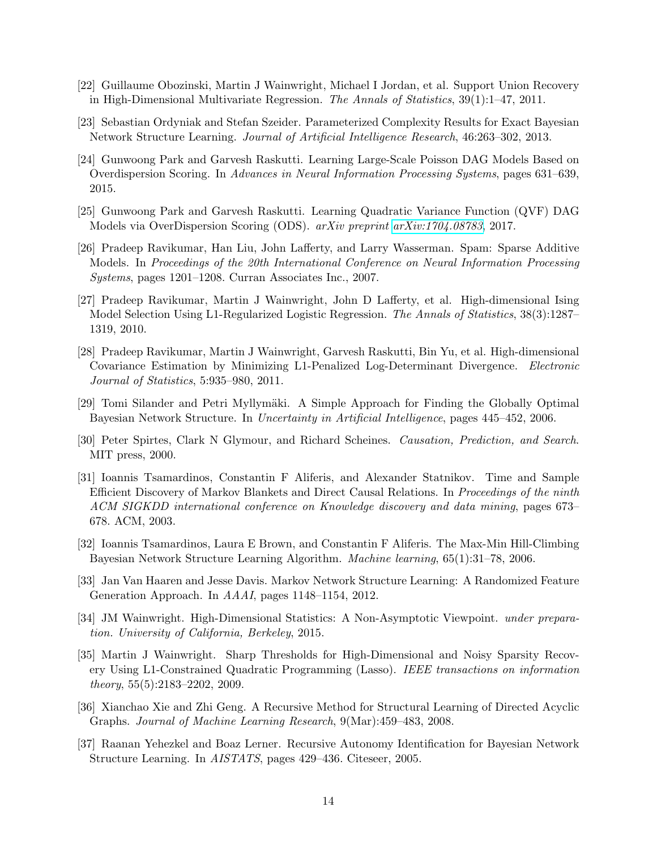- <span id="page-13-13"></span>[22] Guillaume Obozinski, Martin J Wainwright, Michael I Jordan, et al. Support Union Recovery in High-Dimensional Multivariate Regression. The Annals of Statistics, 39(1):1–47, 2011.
- <span id="page-13-8"></span>[23] Sebastian Ordyniak and Stefan Szeider. Parameterized Complexity Results for Exact Bayesian Network Structure Learning. Journal of Artificial Intelligence Research, 46:263–302, 2013.
- <span id="page-13-5"></span>[24] Gunwoong Park and Garvesh Raskutti. Learning Large-Scale Poisson DAG Models Based on Overdispersion Scoring. In Advances in Neural Information Processing Systems, pages 631–639, 2015.
- <span id="page-13-6"></span>[25] Gunwoong Park and Garvesh Raskutti. Learning Quadratic Variance Function (QVF) DAG Models via OverDispersion Scoring (ODS). arXiv preprint [arXiv:1704.08783](http://arxiv.org/abs/1704.08783), 2017.
- <span id="page-13-11"></span>[26] Pradeep Ravikumar, Han Liu, John Lafferty, and Larry Wasserman. Spam: Sparse Additive Models. In Proceedings of the 20th International Conference on Neural Information Processing Systems, pages 1201–1208. Curran Associates Inc., 2007.
- <span id="page-13-10"></span>[27] Pradeep Ravikumar, Martin J Wainwright, John D Lafferty, et al. High-dimensional Ising Model Selection Using L1-Regularized Logistic Regression. The Annals of Statistics, 38(3):1287– 1319, 2010.
- <span id="page-13-12"></span>[28] Pradeep Ravikumar, Martin J Wainwright, Garvesh Raskutti, Bin Yu, et al. High-dimensional Covariance Estimation by Minimizing L1-Penalized Log-Determinant Divergence. Electronic Journal of Statistics, 5:935–980, 2011.
- <span id="page-13-1"></span>[29] Tomi Silander and Petri Myllymäki. A Simple Approach for Finding the Globally Optimal Bayesian Network Structure. In Uncertainty in Artificial Intelligence, pages 445–452, 2006.
- <span id="page-13-2"></span>[30] Peter Spirtes, Clark N Glymour, and Richard Scheines. Causation, Prediction, and Search. MIT press, 2000.
- <span id="page-13-14"></span>[31] Ioannis Tsamardinos, Constantin F Aliferis, and Alexander Statnikov. Time and Sample Efficient Discovery of Markov Blankets and Direct Causal Relations. In Proceedings of the ninth ACM SIGKDD international conference on Knowledge discovery and data mining, pages 673– 678. ACM, 2003.
- <span id="page-13-0"></span>[32] Ioannis Tsamardinos, Laura E Brown, and Constantin F Aliferis. The Max-Min Hill-Climbing Bayesian Network Structure Learning Algorithm. Machine learning, 65(1):31–78, 2006.
- <span id="page-13-15"></span>[33] Jan Van Haaren and Jesse Davis. Markov Network Structure Learning: A Randomized Feature Generation Approach. In AAAI, pages 1148–1154, 2012.
- <span id="page-13-7"></span>[34] JM Wainwright. High-Dimensional Statistics: A Non-Asymptotic Viewpoint. under preparation. University of California, Berkeley, 2015.
- <span id="page-13-9"></span>[35] Martin J Wainwright. Sharp Thresholds for High-Dimensional and Noisy Sparsity Recovery Using L1-Constrained Quadratic Programming (Lasso). IEEE transactions on information theory, 55(5):2183–2202, 2009.
- <span id="page-13-4"></span>[36] Xianchao Xie and Zhi Geng. A Recursive Method for Structural Learning of Directed Acyclic Graphs. Journal of Machine Learning Research, 9(Mar):459–483, 2008.
- <span id="page-13-3"></span>[37] Raanan Yehezkel and Boaz Lerner. Recursive Autonomy Identification for Bayesian Network Structure Learning. In AISTATS, pages 429–436. Citeseer, 2005.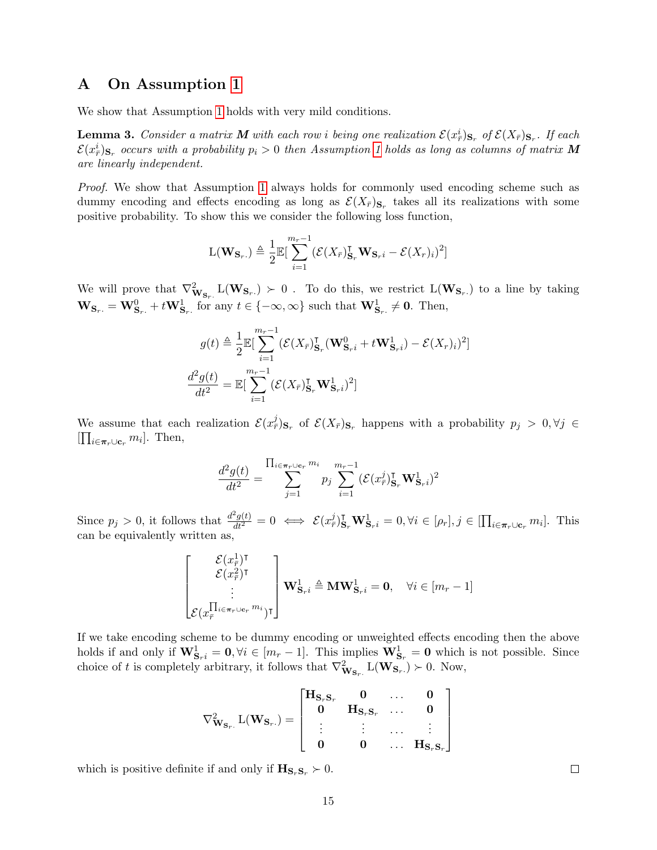## <span id="page-14-0"></span>A On Assumption [1](#page-6-0)

We show that Assumption [1](#page-6-0) holds with very mild conditions.

**Lemma 3.** Consider a matrix **M** with each row i being one realization  $\mathcal{E}(x^i_{\bar{r}})_{\mathbf{S}_r}$  of  $\mathcal{E}(X_{\bar{r}})_{\mathbf{S}_r}$ . If each  $\mathcal{E}(x^i_{\bar{r}})_{\mathbf{S}_r}$  occurs with a probability  $p_i > 0$  then Assumption [1](#page-6-0) holds as long as columns of matrix  $\bm{M}$ are linearly independent.

Proof. We show that Assumption [1](#page-6-0) always holds for commonly used encoding scheme such as dummy encoding and effects encoding as long as  $\mathcal{E}(X_{\bar{r}})_{S_r}$  takes all its realizations with some positive probability. To show this we consider the following loss function,

$$
\mathcal{L}(\mathbf{W}_{\mathbf{S}_r.}) \triangleq \frac{1}{2} \mathbb{E}[\sum_{i=1}^{m_r-1} (\mathcal{E}(X_{\bar{r}})_{\mathbf{S}_r}^{\mathsf{T}} \mathbf{W}_{\mathbf{S}_r i} - \mathcal{E}(X_r)_i)^2]
$$

We will prove that  $\nabla^2_{\mathbf{W}_{\mathbf{S}_r}} L(\mathbf{W}_{\mathbf{S}_r}) \succ 0$ . To do this, we restrict  $L(\mathbf{W}_{\mathbf{S}_r})$  to a line by taking  $\mathbf{W}_{\mathbf{S}_r.} = \mathbf{W}_{\mathbf{S}_r.}^0 + t\mathbf{W}_{\mathbf{S}_r.}^1$  for any  $t \in \{-\infty, \infty\}$  such that  $\mathbf{W}_{\mathbf{S}_r.}^1 \neq \mathbf{0}$ . Then,

$$
g(t) \triangleq \frac{1}{2} \mathbb{E} \left[ \sum_{i=1}^{m_r - 1} (\mathcal{E}(X_{\bar{r}})_{\mathbf{S}_r}^{\mathsf{T}} (\mathbf{W}_{\mathbf{S}_r i}^0 + t \mathbf{W}_{\mathbf{S}_r i}^1) - \mathcal{E}(X_r)_i)^2 \right]
$$

$$
\frac{d^2 g(t)}{dt^2} = \mathbb{E} \left[ \sum_{i=1}^{m_r - 1} (\mathcal{E}(X_{\bar{r}})_{\mathbf{S}_r}^{\mathsf{T}} \mathbf{W}_{\mathbf{S}_r i}^1)^2 \right]
$$

We assume that each realization  $\mathcal{E}(x_{\bar{r}}^j)_{S_r}$  of  $\mathcal{E}(X_{\bar{r}})_{S_r}$  happens with a probability  $p_j > 0, \forall j \in$  $[\prod_{i \in \pi_r \cup \mathbf{c}_r} m_i]$ . Then,

$$
\frac{d^2g(t)}{dt^2} = \sum_{j=1}^{\prod_{i \in \pi_r \cup \mathbf{c}_r} m_i} p_j \sum_{i=1}^{m_r - 1} (\mathcal{E}(x_r^j) \mathbf{I}_{\mathbf{S}_r} \mathbf{W}_{\mathbf{S}_r i}^1)^2
$$

Since  $p_j > 0$ , it follows that  $\frac{d^2g(t)}{dt^2} = 0 \iff \mathcal{E}(x_r^j)_{\mathbf{S}_r}^{\mathbf{T}} \mathbf{W}_{\mathbf{S}_r i}^1 = 0, \forall i \in [\rho_r], j \in [\prod_{i \in \pi_r \cup \mathbf{C}_r} m_i].$  This can be equivalently written as,

$$
\begin{bmatrix} \mathcal{E}(x_{\bar{r}}^1)^{\mathrm{T}} \\ \mathcal{E}(x_{\bar{r}}^2)^{\mathrm{T}}\\ \vdots \\ \mathcal{E}(x_{\bar{r}}^{\prod_{i \in \pi_r \cup \mathrm{c}_r} m_i})^{\mathrm{T}} \end{bmatrix} \mathbf{W_{S_{r}}^{1}}_{i} \triangleq \mathbf{MW_{S_{r}}^{1}} = \mathbf{0}, \quad \forall i \in [m_r - 1]
$$

If we take encoding scheme to be dummy encoding or unweighted effects encoding then the above holds if and only if  $\mathbf{W}_{\mathbf{S}_r i}^1 = \mathbf{0}, \forall i \in [m_r - 1]$ . This implies  $\mathbf{W}_{\mathbf{S}_r}^1 = \mathbf{0}$  which is not possible. Since choice of t is completely arbitrary, it follows that  $\nabla^2_{\mathbf{W}_{\mathbf{S}_r}} L(\mathbf{W}_{\mathbf{S}_r}) \succ 0$ . Now,

$$
\nabla^2_{\mathbf{W_{S_r}}}\,L(\mathbf{W_{S_r}})=\left[\begin{matrix}\mathbf{H_{S_r S_r}}&\mathbf{0}&\cdots&\mathbf{0}\\ \mathbf{0}&\mathbf{H_{S_r S_r}}&\cdots&\mathbf{0}\\ \vdots&\vdots&\cdots&\vdots\\ \mathbf{0}&\mathbf{0}&\cdots&\mathbf{H_{S_r S_r}}\end{matrix}\right]
$$

which is positive definite if and only if  $\mathbf{H}_{\mathbf{S}_r,\mathbf{S}_r} \succ 0$ .

 $\Box$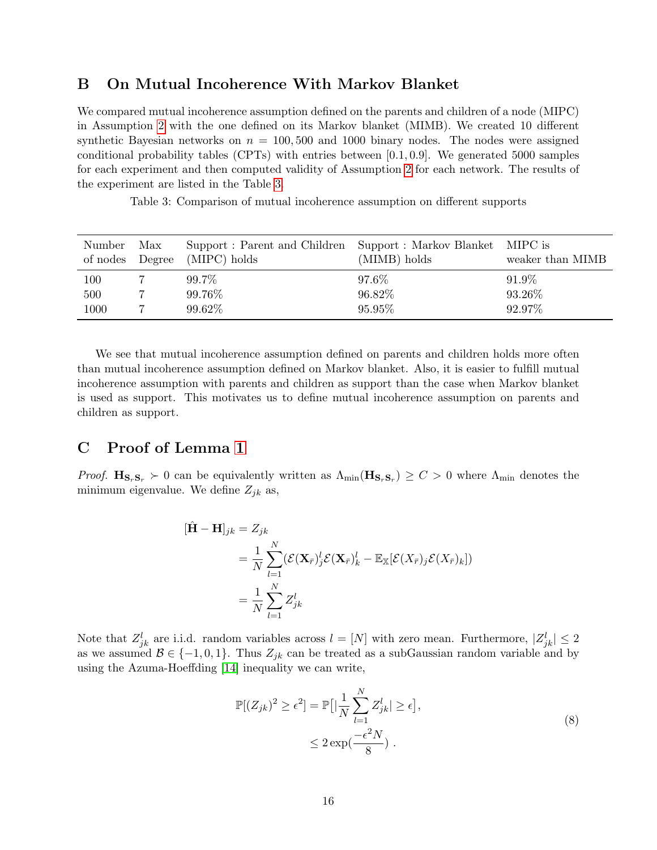# <span id="page-15-1"></span>B On Mutual Incoherence With Markov Blanket

We compared mutual incoherence assumption defined on the parents and children of a node (MIPC) in Assumption [2](#page-6-1) with the one defined on its Markov blanket (MIMB). We created 10 different synthetic Bayesian networks on  $n = 100, 500$  and 1000 binary nodes. The nodes were assigned conditional probability tables (CPTs) with entries between [0.1, 0.9]. We generated 5000 samples for each experiment and then computed validity of Assumption [2](#page-6-1) for each network. The results of the experiment are listed in the Table [3.](#page-15-2)

Table 3: Comparison of mutual incoherence assumption on different supports

<span id="page-15-2"></span>

| Number<br>of nodes Degree | Max | Support: Parent and Children Support: Markov Blanket MIPC is<br>(MIPC) holds | (MIMB) holds | weaker than MIMB |
|---------------------------|-----|------------------------------------------------------------------------------|--------------|------------------|
| 100                       |     | 99.7%                                                                        | 97.6%        | 91.9%            |
| 500                       |     | 99.76%                                                                       | 96.82%       | 93.26%           |
| 1000                      |     | 99.62%                                                                       | 95.95%       | 92.97%           |

We see that mutual incoherence assumption defined on parents and children holds more often than mutual incoherence assumption defined on Markov blanket. Also, it is easier to fulfill mutual incoherence assumption with parents and children as support than the case when Markov blanket is used as support. This motivates us to define mutual incoherence assumption on parents and children as support.

# <span id="page-15-0"></span>C Proof of Lemma [1](#page-6-2)

*Proof.*  $\mathbf{H}_{S_rS_r} \succ 0$  can be equivalently written as  $\Lambda_{\min}(\mathbf{H}_{S_rS_r}) \geq C > 0$  where  $\Lambda_{\min}$  denotes the minimum eigenvalue. We define  $Z_{ik}$  as,

$$
\begin{aligned} [\hat{\mathbf{H}} - \mathbf{H}]_{jk} &= Z_{jk} \\ &= \frac{1}{N} \sum_{l=1}^{N} (\mathcal{E}(\mathbf{X}_{\bar{r}})_{j}^{l} \mathcal{E}(\mathbf{X}_{\bar{r}})_{k}^{l} - \mathbb{E}_{\mathbb{X}}[\mathcal{E}(X_{\bar{r}})_{j} \mathcal{E}(X_{\bar{r}})_{k}]) \\ &= \frac{1}{N} \sum_{l=1}^{N} Z_{jk}^{l} \end{aligned}
$$

Note that  $Z_{jk}^l$  are i.i.d. random variables across  $l = [N]$  with zero mean. Furthermore,  $|Z_{jk}^l| \leq 2$ as we assumed  $\mathcal{B} \in \{-1, 0, 1\}$ . Thus  $Z_{jk}$  can be treated as a subGaussian random variable and by using the Azuma-Hoeffding [\[14\]](#page-12-15) inequality we can write,

<span id="page-15-3"></span>
$$
\mathbb{P}[(Z_{jk})^2 \ge \epsilon^2] = \mathbb{P}\left[|\frac{1}{N}\sum_{l=1}^N Z_{jk}^l| \ge \epsilon\right],
$$
  
 
$$
\le 2\exp(\frac{-\epsilon^2 N}{8}).
$$
 (8)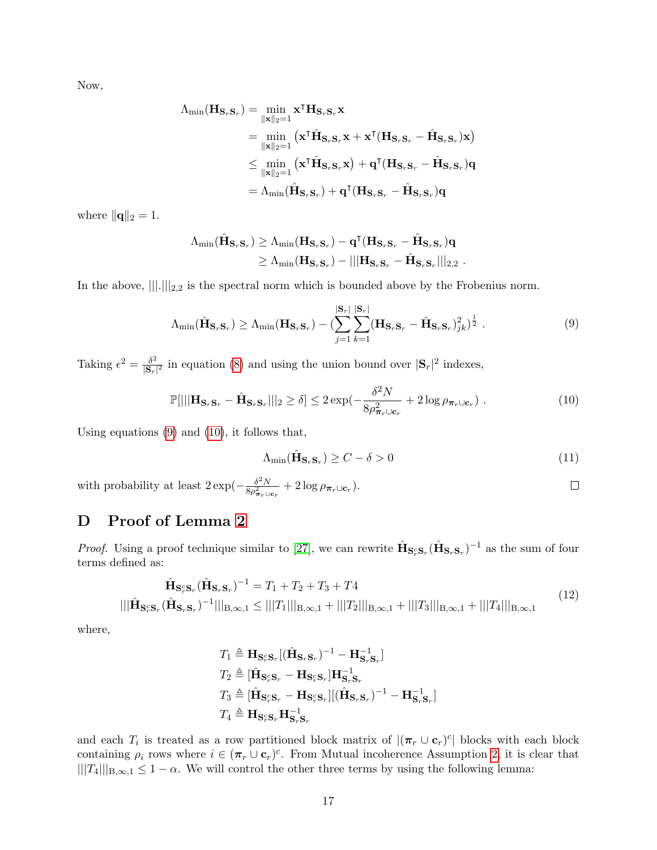Now,

$$
\begin{aligned} \Lambda_{\min}(\mathbf{H}_{\mathbf{S}_r\mathbf{S}_r}) &= \min_{\|\mathbf{x}\|_2=1} \mathbf{x}^\intercal\mathbf{H}_{\mathbf{S}_r\mathbf{S}_r}\mathbf{x} \\ &= \min_{\|\mathbf{x}\|_2=1} \left( \mathbf{x}^\intercal\hat{\mathbf{H}}_{\mathbf{S}_r\mathbf{S}_r}\mathbf{x} + \mathbf{x}^\intercal(\mathbf{H}_{\mathbf{S}_r\mathbf{S}_r} - \hat{\mathbf{H}}_{\mathbf{S}_r\mathbf{S}_r})\mathbf{x} \right) \\ &\leq \min_{\|\mathbf{x}\|_2=1} \left( \mathbf{x}^\intercal\hat{\mathbf{H}}_{\mathbf{S}_r\mathbf{S}_r}\mathbf{x} \right) + \mathbf{q}^\intercal(\mathbf{H}_{\mathbf{S}_r\mathbf{S}_r} - \hat{\mathbf{H}}_{\mathbf{S}_r\mathbf{S}_r})\mathbf{q} \\ &= \Lambda_{\min}(\hat{\mathbf{H}}_{\mathbf{S}_r\mathbf{S}_r}) + \mathbf{q}^\intercal(\mathbf{H}_{\mathbf{S}_r\mathbf{S}_r} - \hat{\mathbf{H}}_{\mathbf{S}_r\mathbf{S}_r})\mathbf{q} \end{aligned}
$$

where  $\|\mathbf{q}\|_2 = 1$ .

$$
\begin{aligned} \Lambda_{\min}(\hat{\mathbf{H}}_{\mathbf{S}_r\mathbf{S}_r}) &\geq \Lambda_{\min}(\mathbf{H}_{\mathbf{S}_r\mathbf{S}_r}) - \mathbf{q}^\intercal(\mathbf{H}_{\mathbf{S}_r\mathbf{S}_r} - \hat{\mathbf{H}}_{\mathbf{S}_r\mathbf{S}_r})\mathbf{q} \\ &\geq \Lambda_{\min}(\mathbf{H}_{\mathbf{S}_r\mathbf{S}_r}) - |||\mathbf{H}_{\mathbf{S}_r\mathbf{S}_r} - \hat{\mathbf{H}}_{\mathbf{S}_r\mathbf{S}_r}|||_{2,2}~. \end{aligned}
$$

In the above,  $\|\|.\|\|_{2,2}$  is the spectral norm which is bounded above by the Frobenius norm.

$$
\Lambda_{\min}(\hat{\mathbf{H}}_{\mathbf{S}_r\mathbf{S}_r}) \ge \Lambda_{\min}(\mathbf{H}_{\mathbf{S}_r\mathbf{S}_r}) - (\sum_{j=1}^{|\mathbf{S}_r|} \sum_{k=1}^{|\mathbf{S}_r|} (\mathbf{H}_{\mathbf{S}_r\mathbf{S}_r} - \hat{\mathbf{H}}_{\mathbf{S}_r\mathbf{S}_r})_{jk}^2)^{\frac{1}{2}}.
$$
\n(9)

Taking  $\epsilon^2 = \frac{\delta^2}{\sqrt{S}}$  $\frac{\delta^2}{|\mathbf{S}_r|^2}$  in equation [\(8\)](#page-15-3) and using the union bound over  $|\mathbf{S}_r|^2$  indexes,

$$
\mathbb{P}[|||\mathbf{H}_{\mathbf{S}_r\mathbf{S}_r} - \hat{\mathbf{H}}_{\mathbf{S}_r\mathbf{S}_r}||_2 \ge \delta] \le 2 \exp(-\frac{\delta^2 N}{8\rho_{\boldsymbol{\pi}_r \cup \mathbf{c}_r}^2} + 2\log \rho_{\boldsymbol{\pi}_r \cup \mathbf{c}_r}) . \tag{10}
$$

Using equations [\(9\)](#page-16-1) and [\(10\)](#page-16-2), it follows that,

$$
\Lambda_{\min}(\hat{\mathbf{H}}_{\mathbf{S}_r\mathbf{S}_r}) \ge C - \delta > 0 \tag{11}
$$

<span id="page-16-4"></span><span id="page-16-3"></span><span id="page-16-2"></span><span id="page-16-1"></span> $\Box$ 

with probability at least  $2 \exp(-\frac{\delta^2 N}{\delta \epsilon^2})$  $\frac{\partial^2 N}{\partial \rho_{\boldsymbol{\pi}_r \cup \mathbf{c}_r}^2} + 2 \log \rho_{\boldsymbol{\pi}_r \cup \mathbf{c}_r}).$ 

# <span id="page-16-0"></span>D Proof of Lemma [2](#page-6-3)

*Proof.* Using a proof technique similar to [\[27\]](#page-13-10), we can rewrite  $\hat{\mathbf{H}}_{\mathbf{S}_r\mathbf{S}_r}(\hat{\mathbf{H}}_{\mathbf{S}_r\mathbf{S}_r})^{-1}$  as the sum of four terms defined as:

$$
\hat{\mathbf{H}}_{\mathbf{S}_{r}^{c}\mathbf{S}_{r}}(\hat{\mathbf{H}}_{\mathbf{S}_{r}\mathbf{S}_{r}})^{-1} = T_{1} + T_{2} + T_{3} + T4
$$
\n
$$
|||\hat{\mathbf{H}}_{\mathbf{S}_{r}^{c}\mathbf{S}_{r}}(\hat{\mathbf{H}}_{\mathbf{S}_{r}\mathbf{S}_{r}})^{-1}|||_{\mathbf{B},\infty,1} \leq |||T_{1}|||_{\mathbf{B},\infty,1} + |||T_{2}|||_{\mathbf{B},\infty,1} + |||T_{3}|||_{\mathbf{B},\infty,1} + |||T_{4}|||_{\mathbf{B},\infty,1}
$$
\n(12)

where,

$$
T_1 \triangleq \mathbf{H}_{\mathbf{S}_r^c\mathbf{S}_r}[(\hat{\mathbf{H}}_{\mathbf{S}_r\mathbf{S}_r})^{-1} - \mathbf{H}_{\mathbf{S}_r^c\mathbf{S}_r}^{-1}]
$$
  
\n
$$
T_2 \triangleq [\hat{\mathbf{H}}_{\mathbf{S}_r^c\mathbf{S}_r} - \mathbf{H}_{\mathbf{S}_r^c\mathbf{S}_r}] \mathbf{H}_{\mathbf{S}_r^c\mathbf{S}_r}^{-1}
$$
  
\n
$$
T_3 \triangleq [\hat{\mathbf{H}}_{\mathbf{S}_r^c\mathbf{S}_r} - \mathbf{H}_{\mathbf{S}_r^c\mathbf{S}_r}] [(\hat{\mathbf{H}}_{\mathbf{S}_r\mathbf{S}_r})^{-1} - \mathbf{H}_{\mathbf{S}_r^c\mathbf{S}_r}^{-1}]
$$
  
\n
$$
T_4 \triangleq \mathbf{H}_{\mathbf{S}_r^c\mathbf{S}_r} \mathbf{H}_{\mathbf{S}_r^c\mathbf{S}_r}^{-1}
$$

and each  $T_i$  is treated as a row partitioned block matrix of  $|(\pi_r \cup \mathbf{c}_r)^c|$  blocks with each block containing  $\rho_i$  rows where  $i \in (\pi_r \cup \mathbf{c}_r)^c$ . From Mutual incoherence Assumption [2,](#page-6-1) it is clear that  $|||T_4|||_{B,\infty,1} \leq 1-\alpha$ . We will control the other three terms by using the following lemma: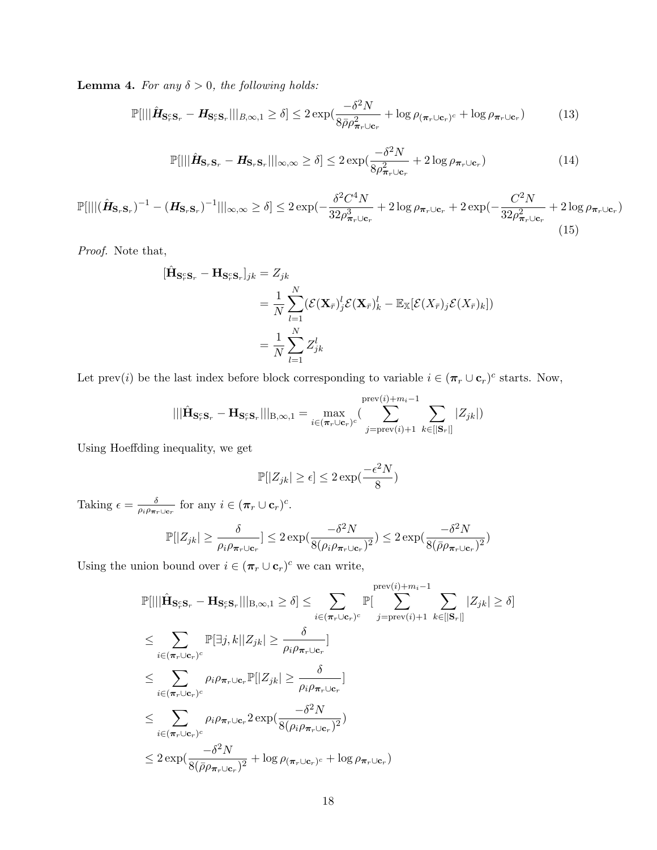**Lemma 4.** For any  $\delta > 0$ , the following holds:

$$
\mathbb{P}[|||\hat{\mathbf{H}}_{\mathbf{S}_r^c \mathbf{S}_r} - \mathbf{H}_{\mathbf{S}_r^c \mathbf{S}_r}|||_{B,\infty,1} \ge \delta] \le 2 \exp(\frac{-\delta^2 N}{8\bar{\rho}\rho_{\pi_r \cup \mathbf{c}_r}^2} + \log \rho_{(\pi_r \cup \mathbf{c}_r)^c} + \log \rho_{\pi_r \cup \mathbf{c}_r}) \tag{13}
$$

<span id="page-17-2"></span><span id="page-17-0"></span>
$$
\mathbb{P}[|||\hat{\mathbf{H}}_{\mathbf{S}_r\mathbf{S}_r} - \mathbf{H}_{\mathbf{S}_r\mathbf{S}_r}|||_{\infty,\infty} \ge \delta] \le 2 \exp(\frac{-\delta^2 N}{8\rho_{\boldsymbol{\pi}_r\cup\mathbf{c}_r}^2} + 2\log\rho_{\boldsymbol{\pi}_r\cup\mathbf{c}_r})\tag{14}
$$

$$
\mathbb{P}[|||(\hat{\mathbf{H}}_{\mathbf{S}_r\mathbf{S}_r})^{-1} - (\mathbf{H}_{\mathbf{S}_r\mathbf{S}_r})^{-1}||_{\infty,\infty} \ge \delta] \le 2 \exp(-\frac{\delta^2 C^4 N}{32 \rho_{\pi_r \cup \mathbf{c}_r}^3} + 2 \log \rho_{\pi_r \cup \mathbf{c}_r} + 2 \exp(-\frac{C^2 N}{32 \rho_{\pi_r \cup \mathbf{c}_r}^2} + 2 \log \rho_{\pi_r \cup \mathbf{c}_r})
$$
\n(15)

Proof. Note that,

$$
\begin{aligned} [\hat{\mathbf{H}}_{\mathbf{S}_{r}^c \mathbf{S}_{r}} - \mathbf{H}_{\mathbf{S}_{r}^c \mathbf{S}_{r}}]_{jk} &= Z_{jk} \\ &= \frac{1}{N} \sum_{l=1}^{N} (\mathcal{E}(\mathbf{X}_{\bar{r}})_{j}^{l} \mathcal{E}(\mathbf{X}_{\bar{r}})_{k}^{l} - \mathbb{E}_{\mathbb{X}}[\mathcal{E}(X_{\bar{r}})_{j} \mathcal{E}(X_{\bar{r}})_{k}]) \\ &= \frac{1}{N} \sum_{l=1}^{N} Z_{jk}^{l} \end{aligned}
$$

Let prev(i) be the last index before block corresponding to variable  $i \in (\pi_r \cup c_r)^c$  starts. Now,

$$
|||\hat{\mathbf{H}}_{\mathbf{S}_r^c\mathbf{S}_r} - \mathbf{H}_{\mathbf{S}_r^c\mathbf{S}_r}|||_{\text{B},\infty,1} = \max_{i \in (\pi_r \cup \mathbf{c}_r)^c} (\sum_{j=\text{prev}(i)+1}^{\text{prev}(i)+m_i-1} \sum_{k \in [\mathbf{S}_r]} |Z_{jk}|)
$$

Using Hoeffding inequality, we get

<span id="page-17-1"></span>
$$
\mathbb{P}[|Z_{jk}| \geq \epsilon] \leq 2\exp(\frac{-\epsilon^2 N}{8})
$$

Taking  $\epsilon = \frac{\delta}{\sigma \epsilon_0}$  $\frac{\delta}{\rho_i \rho_{\boldsymbol{\pi}_r \cup \mathbf{c}_r}}$  for any  $i \in (\boldsymbol{\pi}_r \cup \mathbf{c}_r)^c$ .

$$
\mathbb{P}[|Z_{jk}| \ge \frac{\delta}{\rho_i \rho_{\pi_r \cup \mathbf{c}_r}}] \le 2 \exp(\frac{-\delta^2 N}{8(\rho_i \rho_{\pi_r \cup \mathbf{c}_r})^2}) \le 2 \exp(\frac{-\delta^2 N}{8(\bar{\rho} \rho_{\pi_r \cup \mathbf{c}_r})^2})
$$

Using the union bound over  $i \in (\pi_r \cup \mathbf{c}_r)^c$  we can write,

$$
\mathbb{P}[|||\hat{\mathbf{H}}_{\mathbf{S}_{r}^c\mathbf{S}_{r}} - \mathbf{H}_{\mathbf{S}_{r}^c\mathbf{S}_{r}}|||_{B,\infty,1} \geq \delta] \leq \sum_{i \in (\pi_{r} \cup \mathbf{c}_{r})^c} \mathbb{P}[\sum_{j=\text{prev}(i)+1}^{\text{prev}(i)+m_{i}-1} \sum_{k \in [\mathbf{S}_{r}]} |Z_{jk}| \geq \delta]
$$
\n
$$
\leq \sum_{i \in (\pi_{r} \cup \mathbf{c}_{r})^c} \mathbb{P}[\exists j,k||Z_{jk}| \geq \frac{\delta}{\rho_{i}\rho_{\pi_{r} \cup \mathbf{c}_{r}}}]
$$
\n
$$
\leq \sum_{i \in (\pi_{r} \cup \mathbf{c}_{r})^c} \rho_{i}\rho_{\pi_{r} \cup \mathbf{c}_{r}} \mathbb{P}[|Z_{jk}| \geq \frac{\delta}{\rho_{i}\rho_{\pi_{r} \cup \mathbf{c}_{r}}}]
$$
\n
$$
\leq \sum_{i \in (\pi_{r} \cup \mathbf{c}_{r})^c} \rho_{i}\rho_{\pi_{r} \cup \mathbf{c}_{r}} 2 \exp(\frac{-\delta^2 N}{8(\rho_{i}\rho_{\pi_{r} \cup \mathbf{c}_{r}})^2})
$$
\n
$$
\leq 2 \exp(\frac{-\delta^2 N}{8(\bar{\rho}\rho_{\pi_{r} \cup \mathbf{c}_{r}})^2} + \log \rho_{(\pi_{r} \cup \mathbf{c}_{r})^c} + \log \rho_{\pi_{r} \cup \mathbf{c}_{r}})
$$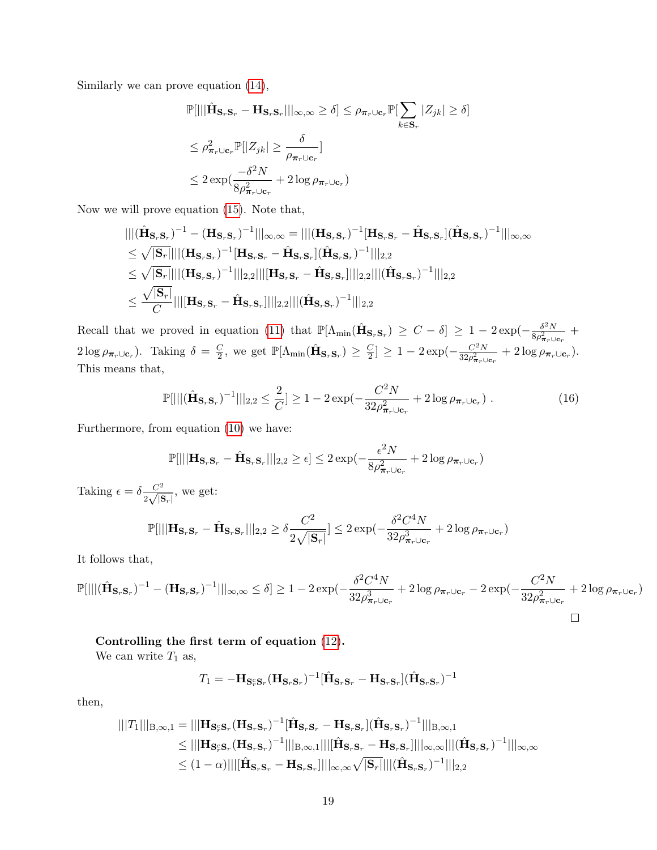Similarly we can prove equation [\(14\)](#page-17-0),

$$
\mathbb{P}[|||\hat{\mathbf{H}}_{\mathbf{S}_r\mathbf{S}_r} - \mathbf{H}_{\mathbf{S}_r\mathbf{S}_r}|||_{\infty,\infty} \ge \delta] \le \rho_{\pi_r \cup \mathbf{c}_r} \mathbb{P}[\sum_{k \in \mathbf{S}_r} |Z_{jk}| \ge \delta]
$$
  
\n
$$
\le \rho_{\pi_r \cup \mathbf{c}_r}^2 \mathbb{P}[|Z_{jk}| \ge \frac{\delta}{\rho_{\pi_r \cup \mathbf{c}_r}}]
$$
  
\n
$$
\le 2 \exp(\frac{-\delta^2 N}{8\rho_{\pi_r \cup \mathbf{c}_r}^2} + 2 \log \rho_{\pi_r \cup \mathbf{c}_r})
$$

Now we will prove equation [\(15\)](#page-17-1). Note that,

$$
\begin{aligned}\n&\| |(\hat{\mathbf{H}}_{\mathbf{S}_{r}\mathbf{S}_{r}})^{-1} - (\mathbf{H}_{\mathbf{S}_{r}\mathbf{S}_{r}})^{-1}|||_{\infty,\infty} = |||(\mathbf{H}_{\mathbf{S}_{r}\mathbf{S}_{r}})^{-1}[\mathbf{H}_{\mathbf{S}_{r}\mathbf{S}_{r}} - \hat{\mathbf{H}}_{\mathbf{S}_{r}\mathbf{S}_{r}}](\hat{\mathbf{H}}_{\mathbf{S}_{r}\mathbf{S}_{r}})^{-1}|||_{\infty,\infty} \\
&\leq \sqrt{|\mathbf{S}_{r}}||||(\mathbf{H}_{\mathbf{S}_{r}\mathbf{S}_{r}})^{-1}[\mathbf{H}_{\mathbf{S}_{r}\mathbf{S}_{r}} - \hat{\mathbf{H}}_{\mathbf{S}_{r}\mathbf{S}_{r}}](\hat{\mathbf{H}}_{\mathbf{S}_{r}\mathbf{S}_{r}})^{-1}|||_{2,2} \\
&\leq \sqrt{|\mathbf{S}_{r}}||||(\mathbf{H}_{\mathbf{S}_{r}\mathbf{S}_{r}})^{-1}|||_{2,2}||||(\mathbf{H}_{\mathbf{S}_{r}\mathbf{S}_{r}} - \hat{\mathbf{H}}_{\mathbf{S}_{r}\mathbf{S}_{r}}]|||_{2,2}|||(\hat{\mathbf{H}}_{\mathbf{S}_{r}\mathbf{S}_{r}})^{-1}|||_{2,2} \\
&\leq \frac{\sqrt{|\mathbf{S}_{r}|}}{C}||||\mathbf{H}_{\mathbf{S}_{r}\mathbf{S}_{r}} - \hat{\mathbf{H}}_{\mathbf{S}_{r}\mathbf{S}_{r}}]|||_{2,2}|||(\hat{\mathbf{H}}_{\mathbf{S}_{r}\mathbf{S}_{r}})^{-1}|||_{2,2}\n\end{aligned}
$$

Recall that we proved in equation [\(11\)](#page-16-3) that  $\mathbb{P}[\Lambda_{\min}(\hat{\mathbf{H}}_{\mathbf{S}_r\mathbf{S}_r}) \geq C - \delta] \geq 1 - 2 \exp(-\frac{\delta^2 N}{8\sigma^2})$  $\frac{\partial^2 N}{\partial \rho_{\boldsymbol{\pi}_r \cup \mathbf{c}_r}^2}$  +  $2\log \rho_{\boldsymbol{\pi}_r \cup \mathbf{c}_r}$ ). Taking  $\delta = \frac{C}{2}$  $\frac{C}{2}$ , we get  $\mathbb{P}[\Lambda_{\min}(\hat{\mathbf{H}}_{\mathbf{S}_r\mathbf{S}_r}) \geq \frac{C}{2}]$  $\lfloor \frac{C}{2} \rfloor \geq 1 - 2 \exp(-\frac{C^2 N}{32 \rho_{\pi-1}^2})$  $\frac{C^2N}{32\rho^2_{\boldsymbol{\pi}_r\cup\mathbf{c}_r}}+2\log\rho_{\boldsymbol{\pi}_r\cup\mathbf{c}_r}).$ This means that,

$$
\mathbb{P}[|||(\hat{\mathbf{H}}_{\mathbf{S}_r\mathbf{S}_r})^{-1}||_{2,2} \le \frac{2}{C}] \ge 1 - 2\exp(-\frac{C^2N}{32\rho_{\pi_r\cup\mathbf{c}_r}^2} + 2\log\rho_{\pi_r\cup\mathbf{c}_r})\ . \tag{16}
$$

Furthermore, from equation [\(10\)](#page-16-2) we have:

<span id="page-18-0"></span>
$$
\mathbb{P}[|||\mathbf{H}_{\mathbf{S}_r\mathbf{S}_r} - \hat{\mathbf{H}}_{\mathbf{S}_r\mathbf{S}_r}|||_{2,2} \ge \epsilon] \le 2\exp(-\frac{\epsilon^2 N}{8\rho_{\boldsymbol{\pi}_r\cup\mathbf{c}_r}^2} + 2\log\rho_{\boldsymbol{\pi}_r\cup\mathbf{c}_r})
$$

Taking  $\epsilon = \delta \frac{C^2}{2 \sqrt{6}}$  $rac{C^2}{2\sqrt{|\mathbf{S}_r|}}$ , we get:  $\mathbb{P}[|||\mathbf{H}_{\mathbf{S}_r\mathbf{S}_r} - \hat{\mathbf{H}}_{\mathbf{S}_r\mathbf{S}_r}|||_{2,2} \geq \delta \frac{C^2}{2\sqrt{6}}$  $2\sqrt{|\mathbf{S}_r|}$  $\vert \leq 2 \exp(-\frac{\delta^2 C^4 N}{2R^2})$  $32 \rho_{\bm{\pi}_r \cup \mathbf{c}_r}^3$  $+2\log\rho_{\boldsymbol{\pi}_r\cup\mathbf{c}_r})$ 

It follows that,

$$
\mathbb{P}[|||(\hat{\mathbf{H}}_{\mathbf{S}_{r}\mathbf{S}_{r}})^{-1} - (\mathbf{H}_{\mathbf{S}_{r}\mathbf{S}_{r}})^{-1}|||_{\infty,\infty} \leq \delta] \geq 1 - 2\exp(-\frac{\delta^{2}C^{4}N}{32\rho_{\pi_{r}\cup\mathbf{c}_{r}}^{3}} + 2\log\rho_{\pi_{r}\cup\mathbf{c}_{r}} - 2\exp(-\frac{C^{2}N}{32\rho_{\pi_{r}\cup\mathbf{c}_{r}}^{2}} + 2\log\rho_{\pi_{r}\cup\mathbf{c}_{r}})
$$

### Controlling the first term of equation [\(12\)](#page-16-4).

We can write  $T_1$  as,

$$
T_1 = -\mathbf{H}_{\mathbf{S}_r^c \mathbf{S}_r} (\mathbf{H}_{\mathbf{S}_r \mathbf{S}_r})^{-1} [\hat{\mathbf{H}}_{\mathbf{S}_r \mathbf{S}_r} - \mathbf{H}_{\mathbf{S}_r \mathbf{S}_r} ] (\hat{\mathbf{H}}_{\mathbf{S}_r \mathbf{S}_r})^{-1}
$$

then,

$$
|||T_{1}|||_{B,\infty,1} = |||\mathbf{H}_{\mathbf{S}_{r}^{c}\mathbf{S}_{r}}(\mathbf{H}_{\mathbf{S}_{r}\mathbf{S}_{r}})^{-1}[\hat{\mathbf{H}}_{\mathbf{S}_{r}\mathbf{S}_{r}} - \mathbf{H}_{\mathbf{S}_{r}\mathbf{S}_{r}}] (\hat{\mathbf{H}}_{\mathbf{S}_{r}\mathbf{S}_{r}})^{-1}|||_{B,\infty,1} \n\leq |||\mathbf{H}_{\mathbf{S}_{r}^{c}\mathbf{S}_{r}}(\mathbf{H}_{\mathbf{S}_{r}\mathbf{S}_{r}})^{-1}|||_{B,\infty,1} |||[\hat{\mathbf{H}}_{\mathbf{S}_{r}\mathbf{S}_{r}} - \mathbf{H}_{\mathbf{S}_{r}\mathbf{S}_{r}}]|||_{\infty,\infty} |||(\hat{\mathbf{H}}_{\mathbf{S}_{r}\mathbf{S}_{r}})^{-1}|||_{\infty,\infty} \n\leq (1-\alpha)|||[\hat{\mathbf{H}}_{\mathbf{S}_{r}\mathbf{S}_{r}} - \mathbf{H}_{\mathbf{S}_{r}\mathbf{S}_{r}}]|||_{\infty,\infty}\sqrt{|\mathbf{S}_{r}}||||(\hat{\mathbf{H}}_{\mathbf{S}_{r}\mathbf{S}_{r}})^{-1}|||_{2,2}
$$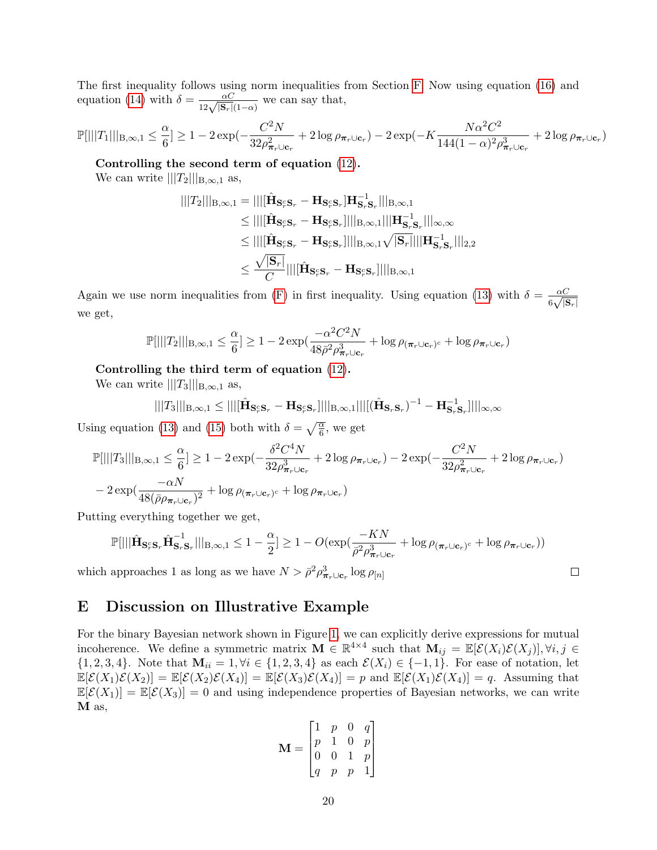The first inequality follows using norm inequalities from Section [F.](#page-21-0) Now using equation [\(16\)](#page-18-0) and equation [\(14\)](#page-17-0) with  $\delta = \frac{\alpha C}{12\sqrt{|\mathbf{S}_r|(1-\alpha)}}$  we can say that,

$$
\mathbb{P}[|||T_1|||_{\text{B},\infty,1} \leq \frac{\alpha}{6}] \geq 1 - 2\exp(-\frac{C^2N}{32\rho_{\bm{\pi}_r\cup\mathbf{c}_r}^2} + 2\log\rho_{\bm{\pi}_r\cup\mathbf{c}_r}) - 2\exp(-K\frac{N\alpha^2C^2}{144(1-\alpha)^2\rho_{\bm{\pi}_r\cup\mathbf{c}_r}^3} + 2\log\rho_{\bm{\pi}_r\cup\mathbf{c}_r})
$$

Controlling the second term of equation [\(12\)](#page-16-4).

We can write  $|||T_2|||_{B,\infty,1}$  as,

$$
\begin{aligned}\n|||T_2|||_{\mathcal{B},\infty,1} &= |||[\hat{\mathbf{H}}_{\mathbf{S}_r^c\mathbf{S}_r} - \mathbf{H}_{\mathbf{S}_r^c\mathbf{S}_r}] \mathbf{H}_{\mathbf{S}_r^c\mathbf{S}_r}^{-1} |||_{\mathcal{B},\infty,1} \\
&\leq |||[\hat{\mathbf{H}}_{\mathbf{S}_r^c\mathbf{S}_r} - \mathbf{H}_{\mathbf{S}_r^c\mathbf{S}_r}]|||_{\mathcal{B},\infty,1} ||| \mathbf{H}_{\mathbf{S}_r^c\mathbf{S}_r}^{-1} |||_{\infty,\infty} \\
&\leq |||[\hat{\mathbf{H}}_{\mathbf{S}_r^c\mathbf{S}_r} - \mathbf{H}_{\mathbf{S}_r^c\mathbf{S}_r}]|||_{\mathcal{B},\infty,1} \sqrt{|\mathbf{S}_r}||| \mathbf{H}_{\mathbf{S}_r^c\mathbf{S}_r}^{-1}|||_{2,2} \\
&\leq \frac{\sqrt{|\mathbf{S}_r|}}{C} |||[\hat{\mathbf{H}}_{\mathbf{S}_r^c\mathbf{S}_r} - \mathbf{H}_{\mathbf{S}_r^c\mathbf{S}_r}]|||_{\mathcal{B},\infty,1}\n\end{aligned}
$$

Again we use norm inequalities from [\(F\)](#page-21-0) in first inequality. Using equation [\(13\)](#page-17-2) with  $\delta = \frac{\alpha C}{c}$  $\frac{\alpha C}{6\sqrt{|\mathbf{S}_{r}|}}$ we get,

$$
\mathbb{P}[|||T_2|||_{\mathcal{B},\infty,1} \leq \frac{\alpha}{6}] \geq 1 - 2\exp(\frac{-\alpha^2 C^2 N}{48\bar{\rho}^2 \rho_{\boldsymbol{\pi}_r \cup \mathbf{c}_r}^3} + \log \rho_{(\boldsymbol{\pi}_r \cup \mathbf{c}_r)^c} + \log \rho_{\boldsymbol{\pi}_r \cup \mathbf{c}_r})
$$

### Controlling the third term of equation [\(12\)](#page-16-4).

We can write  $|||T_3|||_{B,\infty,1}$  as,

$$
|||T_3|||_{\text{B},\infty,1}\leq |||[\hat{\mathbf{H}}_{\mathbf{S}_r^c\mathbf{S}_r}-\mathbf{H}_{\mathbf{S}_r^c\mathbf{S}_r}]|||_{\text{B},\infty,1}|||[(\hat{\mathbf{H}}_{\mathbf{S}_r\mathbf{S}_r})^{-1}-\mathbf{H}_{\mathbf{S}_r\mathbf{S}_r}^{-1}]|||_{\infty,\infty}
$$

Using equation [\(13\)](#page-17-2) and [\(15\)](#page-17-1) both with  $\delta = \sqrt{\frac{\alpha}{6}}$ , we get

$$
\mathbb{P}[|||T_3|||_{\mathcal{B},\infty,1} \leq \frac{\alpha}{6}] \geq 1 - 2 \exp(-\frac{\delta^2 C^4 N}{32 \rho_{\pi_r \cup \mathbf{c}_r}^3} + 2 \log \rho_{\pi_r \cup \mathbf{c}_r}) - 2 \exp(-\frac{C^2 N}{32 \rho_{\pi_r \cup \mathbf{c}_r}^2} + 2 \log \rho_{\pi_r \cup \mathbf{c}_r}) - 2 \exp(\frac{-\alpha N}{48(\bar{\rho}\rho_{\pi_r \cup \mathbf{c}_r})^2} + \log \rho_{(\pi_r \cup \mathbf{c}_r)^c} + \log \rho_{\pi_r \cup \mathbf{c}_r})
$$

Putting everything together we get,

$$
\mathbb{P}[|||\hat{\mathbf{H}}_{\mathbf{S}_r^c\mathbf{S}_r}\hat{\mathbf{H}}_{\mathbf{S}_r\mathbf{S}_r}^{-1}||_{B,\infty,1} \le 1 - \frac{\alpha}{2}] \ge 1 - O(\exp(\frac{-KN}{\bar{\rho}^2 \rho_{\boldsymbol{\pi}_r \cup \mathbf{c}_r}^3} + \log \rho_{(\boldsymbol{\pi}_r \cup \mathbf{c}_r)^c} + \log \rho_{\boldsymbol{\pi}_r \cup \mathbf{c}_r}))
$$

 $\Box$ 

which approaches 1 as long as we have  $N > \bar{\rho}^2 \rho_{\pi_r \cup \mathbf{c}_r}^3 \log \rho_{[n]}$ 

# E Discussion on Illustrative Example

For the binary Bayesian network shown in Figure [1,](#page-8-1) we can explicitly derive expressions for mutual incoherence. We define a symmetric matrix  $\mathbf{M} \in \mathbb{R}^{4 \times 4}$  such that  $\mathbf{M}_{ij} = \mathbb{E}[\mathcal{E}(X_i)\mathcal{E}(X_j)], \forall i, j \in$  $\{1, 2, 3, 4\}.$  Note that  $\mathbf{M}_{ii} = 1, \forall i \in \{1, 2, 3, 4\}$  as each  $\mathcal{E}(X_i) \in \{-1, 1\}.$  For ease of notation, let  $\mathbb{E}[\mathcal{E}(X_1)\mathcal{E}(X_2)] = \mathbb{E}[\mathcal{E}(X_2)\mathcal{E}(X_4)] = \mathbb{E}[\mathcal{E}(X_3)\mathcal{E}(X_4)] = p$  and  $\mathbb{E}[\mathcal{E}(X_1)\mathcal{E}(X_4)] = q$ . Assuming that  $\mathbb{E}[\mathcal{E}(X_1)] = \mathbb{E}[\mathcal{E}(X_3)] = 0$  and using independence properties of Bayesian networks, we can write M as,

$$
\mathbf{M} = \begin{bmatrix} 1 & p & 0 & q \\ p & 1 & 0 & p \\ 0 & 0 & 1 & p \\ q & p & p & 1 \end{bmatrix}
$$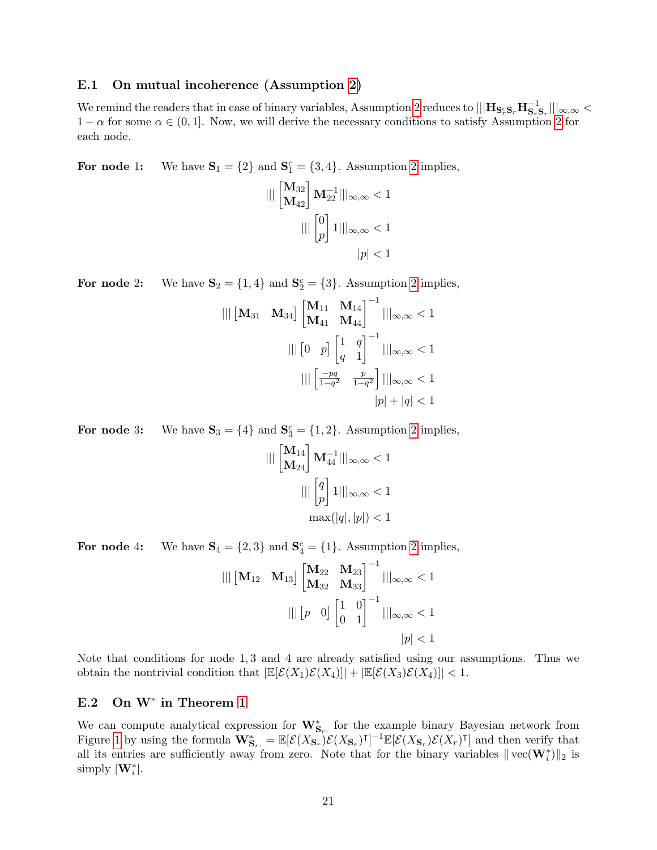### <span id="page-20-0"></span>E.1 On mutual incoherence (Assumption [2\)](#page-6-1)

We remind the readers that in case of binary variables, Assumption [2](#page-6-1) reduces to  $|||\mathbf{H}_{\mathbf{S}_r^c\mathbf{S}_r}\mathbf{H}_{\mathbf{S}_r\mathbf{S}_r}^{-1}|||_{\infty,\infty} <$  $1 - \alpha$  for some  $\alpha \in (0, 1]$ . Now, we will derive the necessary conditions to satisfy Assumption [2](#page-6-1) for each node.

For node 1: We have  $S_1 = \{2\}$  and  $S_1^c = \{3, 4\}$ . Assumption [2](#page-6-1) implies,

$$
\begin{aligned} ||| \begin{bmatrix} \mathbf{M}_{32} \\ \mathbf{M}_{42} \end{bmatrix} \mathbf{M}_{22}^{-1} |||_{\infty,\infty} < 1 \\ & ||| \begin{bmatrix} 0 \\ p \end{bmatrix} 1 |||_{\infty,\infty} < 1 \\ & |p| < 1 \end{aligned}
$$

For node [2](#page-6-1): We have  $S_2 = \{1, 4\}$  and  $S_2^c = \{3\}$ . Assumption 2 implies,

$$
\begin{aligned} ||| \begin{bmatrix} \mathbf{M}_{31} & \mathbf{M}_{34} \end{bmatrix} \begin{bmatrix} \mathbf{M}_{11} & \mathbf{M}_{14} \\ \mathbf{M}_{41} & \mathbf{M}_{44} \end{bmatrix}^{-1} |||_{\infty,\infty} < 1 \\ ||| \begin{bmatrix} 0 & p \end{bmatrix} \begin{bmatrix} 1 & q \\ q & 1 \end{bmatrix}^{-1} |||_{\infty,\infty} < 1 \\ ||| \begin{bmatrix} \frac{-pq}{1-q^2} & \frac{p}{1-q^2} \end{bmatrix} |||_{\infty,\infty} < 1 \\ ||p| + |q| < 1 \end{aligned}
$$

For node 3: We have  $S_3 = \{4\}$  and  $S_3^c = \{1, 2\}$  $S_3^c = \{1, 2\}$  $S_3^c = \{1, 2\}$ . Assumption 2 implies,

$$
\begin{aligned} ||| \begin{bmatrix} \mathbf{M}_{14} \\ \mathbf{M}_{24} \end{bmatrix} \mathbf{M}_{44}^{-1} |||_{\infty,\infty} < 1 \\ ||| \begin{bmatrix} q \\ p \end{bmatrix} 1 |||_{\infty,\infty} < 1 \\ \max(|q|,|p|) < 1 \end{aligned}
$$

For node 4: We have  $S_4 = \{2, 3\}$  and  $S_4^c = \{1\}$ . Assumption [2](#page-6-1) implies,

$$
\begin{aligned} ||| \begin{bmatrix} \mathbf{M}_{12} & \mathbf{M}_{13} \end{bmatrix} \begin{bmatrix} \mathbf{M}_{22} & \mathbf{M}_{23} \\ \mathbf{M}_{32} & \mathbf{M}_{33} \end{bmatrix}^{-1} |||_{\infty,\infty} < 1 \\ ||| \begin{bmatrix} p & 0 \end{bmatrix} \begin{bmatrix} 1 & 0 \\ 0 & 1 \end{bmatrix}^{-1} |||_{\infty,\infty} < 1 \\ ||p| < 1 \end{aligned}
$$

Note that conditions for node 1, 3 and 4 are already satisfied using our assumptions. Thus we obtain the nontrivial condition that  $|\mathbb{E}[\mathcal{E}(X_1)\mathcal{E}(X_4)|| + |\mathbb{E}[\mathcal{E}(X_3)\mathcal{E}(X_4)|| < 1$ .

# <span id="page-20-1"></span>E.2 On W<sup>\*</sup> in Theorem [1](#page-7-0)

We can compute analytical expression for  $\mathbf{W}_{\mathbf{S}_r}^*$  for the example binary Bayesian network from Figure [1](#page-8-1) by using the formula  $\mathbf{W}_{\mathbf{S}_r}^* = \mathbb{E}[\mathcal{E}(X_{\mathbf{S}_r})\mathcal{E}(X_{\mathbf{S}_r})^{\intercal}]^{-1}\mathbb{E}[\mathcal{E}(X_{\mathbf{S}_r})\mathcal{E}(X_r)^{\intercal}]$  and then verify that all its entries are sufficiently away from zero. Note that for the binary variables  $\|\text{vec}(\mathbf{W}_i^*)\|_2$  is simply  $|\mathbf{W}_i^*|.$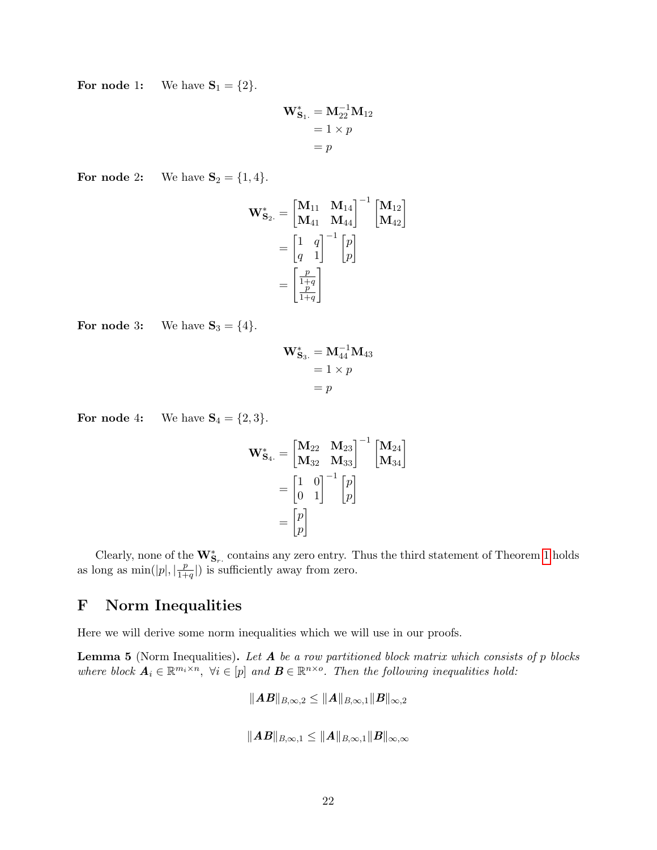For node 1: We have  $S_1 = \{2\}.$ 

$$
\mathbf{W}_{\mathbf{S}_1.}^* = \mathbf{M}_{22}^{-1} \mathbf{M}_{12}
$$

$$
= 1 \times p
$$

$$
= p
$$

For node 2: We have  $S_2 = \{1, 4\}.$ 

$$
\mathbf{W}_{\mathbf{S}_2.}^* = \begin{bmatrix} \mathbf{M}_{11} & \mathbf{M}_{14} \\ \mathbf{M}_{41} & \mathbf{M}_{44} \end{bmatrix}^{-1} \begin{bmatrix} \mathbf{M}_{12} \\ \mathbf{M}_{42} \end{bmatrix}
$$

$$
= \begin{bmatrix} 1 & q \\ q & 1 \end{bmatrix}^{-1} \begin{bmatrix} p \\ p \end{bmatrix}
$$

$$
= \begin{bmatrix} \frac{p}{1+q} \\ \frac{p}{1+q} \end{bmatrix}
$$

For node 3: We have  $S_3 = \{4\}.$ 

$$
\mathbf{W}_{\mathbf{S}_3.}^* = \mathbf{M}_{44}^{-1} \mathbf{M}_{43}
$$

$$
= 1 \times p
$$

$$
= p
$$

For node 4: We have  $S_4 = \{2, 3\}.$ 

$$
\mathbf{W}_{\mathbf{S}_4.}^* = \begin{bmatrix} \mathbf{M}_{22} & \mathbf{M}_{23} \\ \mathbf{M}_{32} & \mathbf{M}_{33} \end{bmatrix}^{-1} \begin{bmatrix} \mathbf{M}_{24} \\ \mathbf{M}_{34} \end{bmatrix}
$$

$$
= \begin{bmatrix} 1 & 0 \\ 0 & 1 \end{bmatrix}^{-1} \begin{bmatrix} p \\ p \end{bmatrix}
$$

$$
= \begin{bmatrix} p \\ p \end{bmatrix}
$$

Clearly, none of the  $\mathbf{W}_{\mathbf{S}_r}^*$  contains any zero entry. Thus the third statement of Theorem [1](#page-7-0) holds as long as  $\min(|p|, \lvert \frac{p}{1+r} \rvert)$  $\frac{p}{1+q}$ ) is sufficiently away from zero.

# <span id="page-21-0"></span>F Norm Inequalities

Here we will derive some norm inequalities which we will use in our proofs.

**Lemma 5** (Norm Inequalities). Let  $A$  be a row partitioned block matrix which consists of  $p$  blocks where block  $A_i \in \mathbb{R}^{m_i \times n}$ ,  $\forall i \in [p]$  and  $B \in \mathbb{R}^{n \times o}$ . Then the following inequalities hold:

$$
\|AB\|_{B,\infty,2} \le \|A\|_{B,\infty,1} \|B\|_{\infty,2}
$$
  

$$
\|AB\|_{B,\infty,1} \le \|A\|_{B,\infty,1} \|B\|_{\infty,\infty}
$$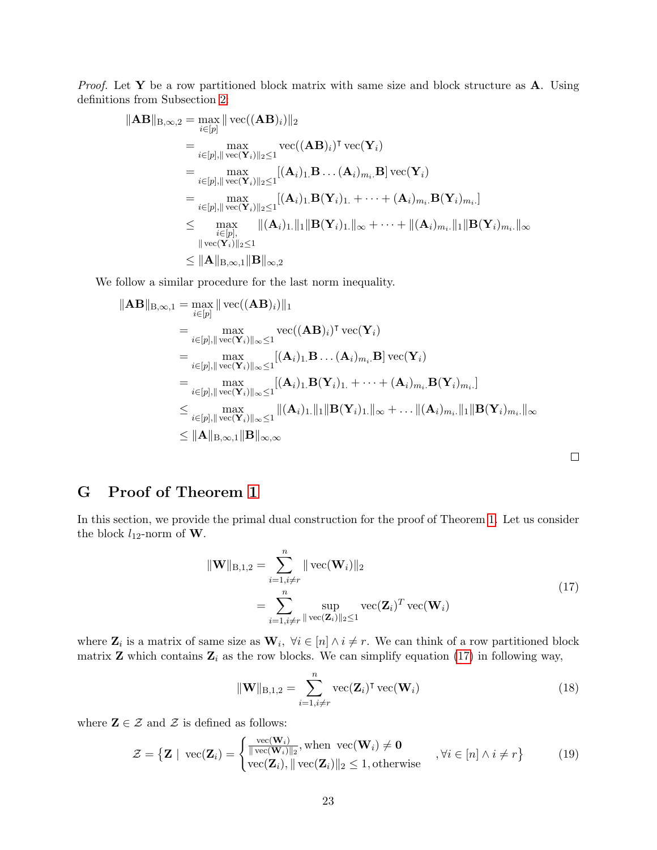*Proof.* Let Y be a row partitioned block matrix with same size and block structure as  $\mathbf{A}$ . Using definitions from Subsection [2:](#page-1-0)

$$
\|\mathbf{AB}\|_{B,\infty,2} = \max_{i \in [p]} \|\text{vec}((\mathbf{AB})_i)\|_2
$$
  
\n
$$
= \max_{i \in [p], \|\text{vec}(\mathbf{Y}_i)\|_2 \le 1} \text{vec}((\mathbf{AB})_i)^{\mathsf{T}} \text{vec}(\mathbf{Y}_i)
$$
  
\n
$$
= \max_{i \in [p], \|\text{vec}(\mathbf{Y}_i)\|_2 \le 1} [( \mathbf{A}_i)_1 \mathbf{B} \dots (\mathbf{A}_i)_{m_i} \mathbf{B}] \text{vec}(\mathbf{Y}_i)
$$
  
\n
$$
= \max_{i \in [p], \|\text{vec}(\mathbf{Y}_i)\|_2 \le 1} [( \mathbf{A}_i)_1 \mathbf{B}(\mathbf{Y}_i)_1 + \dots + (\mathbf{A}_i)_{m_i} \mathbf{B}(\mathbf{Y}_i)_{m_i} ]
$$
  
\n
$$
\le \max_{\substack{i \in [p], \|\text{vec}(\mathbf{Y}_i)\|_2 \le 1}} \|( \mathbf{A}_i)_1 \|\|_1 \|\mathbf{B}(\mathbf{Y}_i)_1\|_{\infty} + \dots + \| (\mathbf{A}_i)_{m_i} \|\|_1 \|\mathbf{B}(\mathbf{Y}_i)_{m_i} \|_{\infty}
$$
  
\n
$$
\|\text{vec}(\mathbf{Y}_i)\|_2 \le 1
$$
  
\n
$$
\le \|\mathbf{A}\|_{B,\infty,1} \|\mathbf{B}\|_{\infty,2}
$$

We follow a similar procedure for the last norm inequality.

$$
\|\mathbf{AB}\|_{\mathbf{B},\infty,1} = \max_{i \in [p]} \|\text{vec}((\mathbf{AB})_i)\|_1
$$
  
\n
$$
= \max_{i \in [p], \|\text{vec}(\mathbf{Y}_i)\|_{\infty} \le 1} \text{vec}((\mathbf{AB})_i)^{\mathsf{T}} \text{vec}(\mathbf{Y}_i)
$$
  
\n
$$
= \max_{i \in [p], \|\text{vec}(\mathbf{Y}_i)\|_{\infty} \le 1} [(\mathbf{A}_i)_{1.} \mathbf{B} \dots (\mathbf{A}_i)_{m_i.} \mathbf{B}] \text{vec}(\mathbf{Y}_i)
$$
  
\n
$$
= \max_{i \in [p], \|\text{vec}(\mathbf{Y}_i)\|_{\infty} \le 1} [(\mathbf{A}_i)_{1.} \mathbf{B}(\mathbf{Y}_i)_{1.} + \dots + (\mathbf{A}_i)_{m_i.} \mathbf{B}(\mathbf{Y}_i)_{m_i.}]
$$
  
\n
$$
\le \max_{i \in [p], \|\text{vec}(\mathbf{Y}_i)\|_{\infty} \le 1} \|(\mathbf{A}_i)_{1.}\|_1 \|\mathbf{B}(\mathbf{Y}_i)_{1.}\|_{\infty} + \dots + (\mathbf{A}_i)_{m_i.}\|_1 \|\mathbf{B}(\mathbf{Y}_i)_{m_i.}\|_{\infty}
$$
  
\n
$$
\le \|\mathbf{A}\|_{\mathbf{B},\infty,1} \|\mathbf{B}\|_{\infty,\infty}
$$

<span id="page-22-0"></span>G Proof of Theorem [1](#page-7-0)

In this section, we provide the primal dual construction for the proof of Theorem [1.](#page-7-0) Let us consider the block  $l_{12}$ -norm of **W**.

$$
\|\mathbf{W}\|_{\text{B},1,2} = \sum_{i=1,i\neq r}^{n} \|\text{vec}(\mathbf{W}_i)\|_2
$$
  
= 
$$
\sum_{i=1,i\neq r}^{n} \sup_{\|\text{vec}(\mathbf{Z}_i)\|_2 \le 1} \text{vec}(\mathbf{Z}_i)^T \text{vec}(\mathbf{W}_i)
$$
 (17)

where  $\mathbf{Z}_i$  is a matrix of same size as  $\mathbf{W}_i$ ,  $\forall i \in [n] \land i \neq r$ . We can think of a row partitioned block matrix **Z** which contains  $\mathbf{Z}_i$  as the row blocks. We can simplify equation [\(17\)](#page-22-1) in following way,

<span id="page-22-3"></span><span id="page-22-2"></span><span id="page-22-1"></span>
$$
\|\mathbf{W}\|_{\text{B},1,2} = \sum_{i=1,i\neq r}^{n} \text{vec}(\mathbf{Z}_i)^{\mathsf{T}} \text{vec}(\mathbf{W}_i)
$$
(18)

where  $\mathbf{Z} \in \mathcal{Z}$  and  $\mathcal{Z}$  is defined as follows:

$$
\mathcal{Z} = \{ \mathbf{Z} \mid \text{vec}(\mathbf{Z}_i) = \begin{cases} \frac{\text{vec}(\mathbf{W}_i)}{\|\text{vec}(\mathbf{W}_i)\|_2}, \text{when } \text{vec}(\mathbf{W}_i) \neq \mathbf{0} \\ \text{vec}(\mathbf{Z}_i), \|\text{vec}(\mathbf{Z}_i)\|_2 \leq 1, \text{otherwise} \end{cases}, \forall i \in [n] \land i \neq r \}
$$
(19)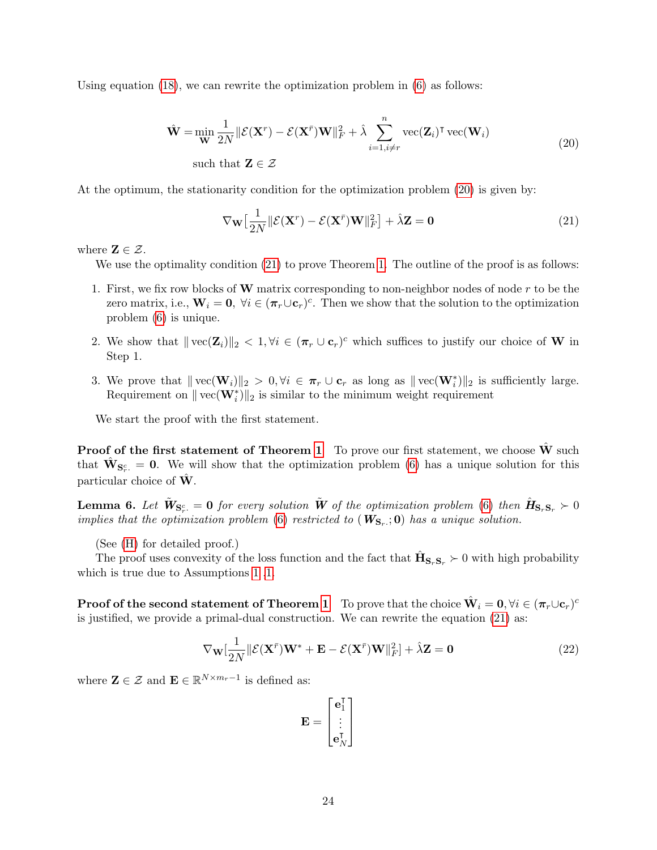Using equation  $(18)$ , we can rewrite the optimization problem in  $(6)$  as follows:

$$
\hat{\mathbf{W}} = \min_{\mathbf{W}} \frac{1}{2N} \|\mathcal{E}(\mathbf{X}^r) - \mathcal{E}(\mathbf{X}^{\bar{r}}) \mathbf{W}\|_F^2 + \hat{\lambda} \sum_{i=1, i \neq r}^n \text{vec}(\mathbf{Z}_i)^{\mathsf{T}} \text{vec}(\mathbf{W}_i)
$$
\nsuch that  $\mathbf{Z} \in \mathcal{Z}$ 

\n(20)

At the optimum, the stationarity condition for the optimization problem [\(20\)](#page-23-0) is given by:

<span id="page-23-1"></span><span id="page-23-0"></span>
$$
\nabla_{\mathbf{W}} \left[ \frac{1}{2N} \| \mathcal{E}(\mathbf{X}^r) - \mathcal{E}(\mathbf{X}^{\bar{r}}) \mathbf{W} \|_F^2 \right] + \hat{\lambda} \mathbf{Z} = \mathbf{0}
$$
 (21)

where  $\mathbf{Z} \in \mathcal{Z}$ .

We use the optimality condition  $(21)$  to prove Theorem [1.](#page-7-0) The outline of the proof is as follows:

- 1. First, we fix row blocks of  $W$  matrix corresponding to non-neighbor nodes of node  $r$  to be the zero matrix, i.e.,  $\mathbf{W}_i = \mathbf{0}, \ \forall i \in (\pi_r \cup \mathbf{c}_r)^c$ . Then we show that the solution to the optimization problem [\(6\)](#page-5-0) is unique.
- 2. We show that  $||\text{vec}(\mathbf{Z}_i)||_2 < 1, \forall i \in (\pi_r \cup \mathbf{c}_r)^c$  which suffices to justify our choice of W in Step 1.
- 3. We prove that  $\|\text{vec}(\mathbf{W}_i)\|_2 > 0, \forall i \in \pi_r \cup \mathbf{c}_r$  as long as  $\|\text{vec}(\mathbf{W}_i^*)\|_2$  is sufficiently large. Requirement on  $\|\text{vec}(\mathbf{W}_i^*)\|_2$  is similar to the minimum weight requirement

We start the proof with the first statement.

**Proof of the first statement of Theorem [1](#page-7-0)** To prove our first statement, we choose  $\hat{\mathbf{W}}$  such that  $\mathbf{\hat{W}}_{\mathbf{S}_r^c} = \mathbf{0}$ . We will show that the optimization problem [\(6\)](#page-5-0) has a unique solution for this particular choice of  $\hat{W}$ .

<span id="page-23-3"></span>**Lemma 6.** Let  $\mathbf{\tilde{W}}_{\mathbf{S}_r^c} = \mathbf{0}$  for every solution  $\mathbf{\tilde{W}}$  of the optimization problem [\(6\)](#page-5-0) then  $\mathbf{\hat{H}}_{\mathbf{S}_r\mathbf{S}_r}} \succ 0$ implies that the optimization problem [\(6\)](#page-5-0) restricted to  $(W_{S_r};0)$  has a unique solution.

(See [\(H\)](#page-25-0) for detailed proof.)

The proof uses convexity of the loss function and the fact that  $\hat{\mathbf{H}}_{\mathbf{S}_r\mathbf{S}_r} \succ 0$  with high probability which is true due to Assumptions [1](#page-6-0) [,1.](#page-6-2)

 ${\bf Proof of the second statement of Theorem 1 \quad To prove that the choice \ \hat{\bf W}_i = {\bf 0}, \forall i \in (\boldsymbol{\pi}_r \cup {\bf c}_r)^c$  ${\bf Proof of the second statement of Theorem 1 \quad To prove that the choice \ \hat{\bf W}_i = {\bf 0}, \forall i \in (\boldsymbol{\pi}_r \cup {\bf c}_r)^c$  ${\bf Proof of the second statement of Theorem 1 \quad To prove that the choice \ \hat{\bf W}_i = {\bf 0}, \forall i \in (\boldsymbol{\pi}_r \cup {\bf c}_r)^c$ is justified, we provide a primal-dual construction. We can rewrite the equation [\(21\)](#page-23-1) as:

$$
\nabla_{\mathbf{W}}[\frac{1}{2N}||\mathcal{E}(\mathbf{X}^{\bar{r}})\mathbf{W}^* + \mathbf{E} - \mathcal{E}(\mathbf{X}^{\bar{r}})\mathbf{W}||_F^2] + \hat{\lambda}\mathbf{Z} = \mathbf{0}
$$
\n(22)

where  $\mathbf{Z} \in \mathcal{Z}$  and  $\mathbf{E} \in \mathbb{R}^{N \times m_r - 1}$  is defined as:

<span id="page-23-2"></span>
$$
\mathbf{E} = \begin{bmatrix} \mathbf{e}_1^{\mathsf{T}} \\ \vdots \\ \mathbf{e}_N^{\mathsf{T}} \end{bmatrix}
$$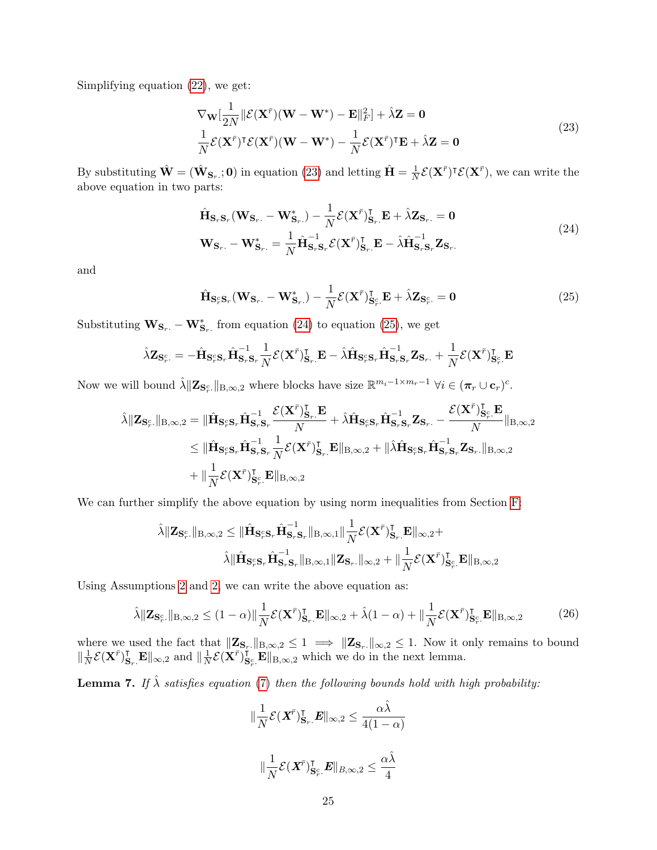Simplifying equation [\(22\)](#page-23-2), we get:

<span id="page-24-0"></span>
$$
\nabla_{\mathbf{W}}[\frac{1}{2N}||\mathcal{E}(\mathbf{X}^{\bar{r}})(\mathbf{W} - \mathbf{W}^*) - \mathbf{E}||_F^2] + \hat{\lambda}\mathbf{Z} = \mathbf{0}
$$
  

$$
\frac{1}{N}\mathcal{E}(\mathbf{X}^{\bar{r}})^{\mathsf{T}}\mathcal{E}(\mathbf{X}^{\bar{r}})(\mathbf{W} - \mathbf{W}^*) - \frac{1}{N}\mathcal{E}(\mathbf{X}^{\bar{r}})^{\mathsf{T}}\mathbf{E} + \hat{\lambda}\mathbf{Z} = \mathbf{0}
$$
\n(23)

By substituting  $\hat{\mathbf{W}} = (\hat{\mathbf{W}}_{\mathbf{S}_r,:} \mathbf{0})$  in equation [\(23\)](#page-24-0) and letting  $\hat{\mathbf{H}} = \frac{1}{N}$  $\frac{1}{N} \mathcal{E}(\mathbf{X}^{\bar{r}})^{\intercal} \mathcal{E}(\mathbf{X}^{\bar{r}})$ , we can write the above equation in two parts:

<span id="page-24-1"></span>
$$
\hat{\mathbf{H}}_{\mathbf{S}_r, \mathbf{S}_r}(\mathbf{W}_{\mathbf{S}_r.} - \mathbf{W}_{\mathbf{S}_r.}^*) - \frac{1}{N} \mathcal{E}(\mathbf{X}^{\bar{r}})_{\mathbf{S}_r.}^{\mathsf{T}} \mathbf{E} + \hat{\lambda} \mathbf{Z}_{\mathbf{S}_r.} = \mathbf{0}
$$
\n
$$
\mathbf{W}_{\mathbf{S}_r.} - \mathbf{W}_{\mathbf{S}_r.}^* = \frac{1}{N} \hat{\mathbf{H}}_{\mathbf{S}_r, \mathbf{S}_r}^{-1} \mathcal{E}(\mathbf{X}^{\bar{r}})_{\mathbf{S}_r.}^{\mathsf{T}} \mathbf{E} - \hat{\lambda} \hat{\mathbf{H}}_{\mathbf{S}_r, \mathbf{S}_r}^{-1} \mathbf{Z}_{\mathbf{S}_r.}
$$
\n(24)

and

<span id="page-24-2"></span>
$$
\hat{\mathbf{H}}_{\mathbf{S}_r^c \mathbf{S}_r}(\mathbf{W}_{\mathbf{S}_r.} - \mathbf{W}_{\mathbf{S}_r.}^*) - \frac{1}{N} \mathcal{E}(\mathbf{X}^{\bar{r}})_{\mathbf{S}_r^c.}^{\mathsf{T}} \mathbf{E} + \hat{\lambda} \mathbf{Z}_{\mathbf{S}_r^c.} = \mathbf{0}
$$
\n(25)

Substituting  $\mathbf{W}_{\mathbf{S}_r} - \mathbf{W}_{\mathbf{S}_r}^*$  from equation [\(24\)](#page-24-1) to equation [\(25\)](#page-24-2), we get

$$
\hat{\lambda} \mathbf{Z}_{\mathbf{S}_r^c} = -\hat{\mathbf{H}}_{\mathbf{S}_r^c \mathbf{S}_r} \hat{\mathbf{H}}_{\mathbf{S}_r \mathbf{S}_r}^{-1} \frac{1}{N} \mathcal{E}(\mathbf{X}^{\bar{r}})_{\mathbf{S}_r}^{\mathsf{T}} \mathbf{E} - \hat{\lambda} \hat{\mathbf{H}}_{\mathbf{S}_r^c \mathbf{S}_r} \hat{\mathbf{H}}_{\mathbf{S}_r \mathbf{S}_r}^{-1} \mathbf{Z}_{\mathbf{S}_r} + \frac{1}{N} \mathcal{E}(\mathbf{X}^{\bar{r}})_{\mathbf{S}_r^c}^{\mathsf{T}} \mathbf{E}
$$

Now we will bound  $\hat{\lambda} \|\mathbf{Z}_{\mathbf{S}_r^c}\|_{\text{B},\infty,2}$  where blocks have size  $\mathbb{R}^{m_i-1\times m_r-1}$   $\forall i \in (\pi_r \cup \mathbf{c}_r)^c$ .

$$
\hat{\lambda} \|\mathbf{Z}_{\mathbf{S}_r^c\cdot}\|_{\mathbf{B},\infty,2} = \|\hat{\mathbf{H}}_{\mathbf{S}_r^c\mathbf{S}_r}\hat{\mathbf{H}}_{\mathbf{S}_r\mathbf{S}_r}^{-1} \frac{\mathcal{E}(\mathbf{X}^{\bar{r}})_{\mathbf{S}_r}^{\mathsf{T}} \mathbf{E}}{N} + \hat{\lambda} \hat{\mathbf{H}}_{\mathbf{S}_r^c\mathbf{S}_r} \hat{\mathbf{H}}_{\mathbf{S}_r\mathbf{S}_r}^{-1} \mathbf{Z}_{\mathbf{S}_r} - \frac{\mathcal{E}(\mathbf{X}^{\bar{r}})_{\mathbf{S}_r^c}^{\mathsf{T}} \mathbf{E}}{N} \|\mathbf{B}_{\infty,2} \\
\leq \|\hat{\mathbf{H}}_{\mathbf{S}_r^c\mathbf{S}_r} \hat{\mathbf{H}}_{\mathbf{S}_r\mathbf{S}_r}^{-1} \frac{1}{N} \mathcal{E}(\mathbf{X}^{\bar{r}})_{\mathbf{S}_r}^{\mathsf{T}} \mathbf{E}\|_{\mathbf{B},\infty,2} + \|\hat{\lambda} \hat{\mathbf{H}}_{\mathbf{S}_r^c\mathbf{S}_r} \hat{\mathbf{H}}_{\mathbf{S}_r\mathbf{S}_r}^{-1} \mathbf{Z}_{\mathbf{S}_r} \|_{\mathbf{B},\infty,2} \\
+ \|\frac{1}{N} \mathcal{E}(\mathbf{X}^{\bar{r}})_{\mathbf{S}_r^c}^{\mathsf{T}} \mathbf{E}\|_{\mathbf{B},\infty,2}
$$

We can further simplify the above equation by using norm inequalities from Section [F:](#page-21-0)

$$
\hat{\lambda} \|\mathbf{Z}_{\mathbf{S}_r^c\cdot}\|_{\text{B},\infty,2} \leq \|\hat{\mathbf{H}}_{\mathbf{S}_r^c\mathbf{S}_r}\hat{\mathbf{H}}_{\mathbf{S}_r\mathbf{S}_r}^{-1}\|_{\text{B},\infty,1}\|\frac{1}{N}\mathcal{E}(\mathbf{X}^{\bar{r}})_{\mathbf{S}_r}^{\intercal}\mathbf{E}\|_{\infty,2} + \\\hat{\lambda} \|\hat{\mathbf{H}}_{\mathbf{S}_r^c\mathbf{S}_r}\hat{\mathbf{H}}_{\mathbf{S}_r\mathbf{S}_r}^{-1}\|_{\text{B},\infty,1}\|\mathbf{Z}_{\mathbf{S}_r\cdot}\|_{\infty,2} + \|\frac{1}{N}\mathcal{E}(\mathbf{X}^{\bar{r}})_{\mathbf{S}_r^c}^{\intercal}\mathbf{E}\|_{\text{B},\infty,2}
$$

Using Assumptions [2](#page-6-1) and [2,](#page-6-3) we can write the above equation as:

$$
\hat{\lambda} \|\mathbf{Z}_{\mathbf{S}_r^c\cdot}\|_{\mathbf{B},\infty,2} \le (1-\alpha) \|\frac{1}{N} \mathcal{E}(\mathbf{X}^{\bar{r}})_{\mathbf{S}_r\cdot}^{\mathbf{T}} \mathbf{E}\|_{\infty,2} + \hat{\lambda}(1-\alpha) + \|\frac{1}{N} \mathcal{E}(\mathbf{X}^{\bar{r}})_{\mathbf{S}_r^c\cdot}^{\mathbf{T}} \mathbf{E}\|_{\mathbf{B},\infty,2}
$$
(26)

where we used the fact that  $\|\mathbf{Z}_{\mathbf{S}_r\cdot}\|_{B,\infty,2} \leq 1 \implies \|\mathbf{Z}_{\mathbf{S}_r\cdot}\|_{\infty,2} \leq 1$ . Now it only remains to bound  $\|\frac{1}{\lambda}$  $\frac{1}{N} \mathcal{E}(\mathbf{X}^{\bar{r}})_{\mathbf{S}_r}^{\mathsf{T}} \mathbf{E} \|_{\infty,2}$  and  $\|\frac{1}{N}$  $\frac{1}{N}\mathcal{E}(\mathbf{X}^{\bar{r}})_{\mathbf{S}}^{\mathbf{S}^{\bm{r}}}$  $\mathbf{S}_{r}^{\mathsf{T}}$ .  $\mathbf{E} \Vert_{\mathbf{B},\infty,2}$  which we do in the next lemma.

<span id="page-24-4"></span>**Lemma 7.** If  $\hat{\lambda}$  satisfies equation [\(7\)](#page-7-1) then the following bounds hold with high probability:

<span id="page-24-3"></span>
$$
\|\frac{1}{N}\mathcal{E}(\boldsymbol{X}^{\bar{r}})_{\mathbf{S}_r}^{\mathsf{T}}.\boldsymbol{E}\|_{\infty,2} \leq \frac{\alpha\hat{\lambda}}{4(1-\alpha)}
$$
  

$$
\|\frac{1}{N}\mathcal{E}(\boldsymbol{X}^{\bar{r}})_{\mathbf{S}_r^c}^{\mathsf{T}}.\boldsymbol{E}\|_{B,\infty,2} \leq \frac{\alpha\hat{\lambda}}{4}
$$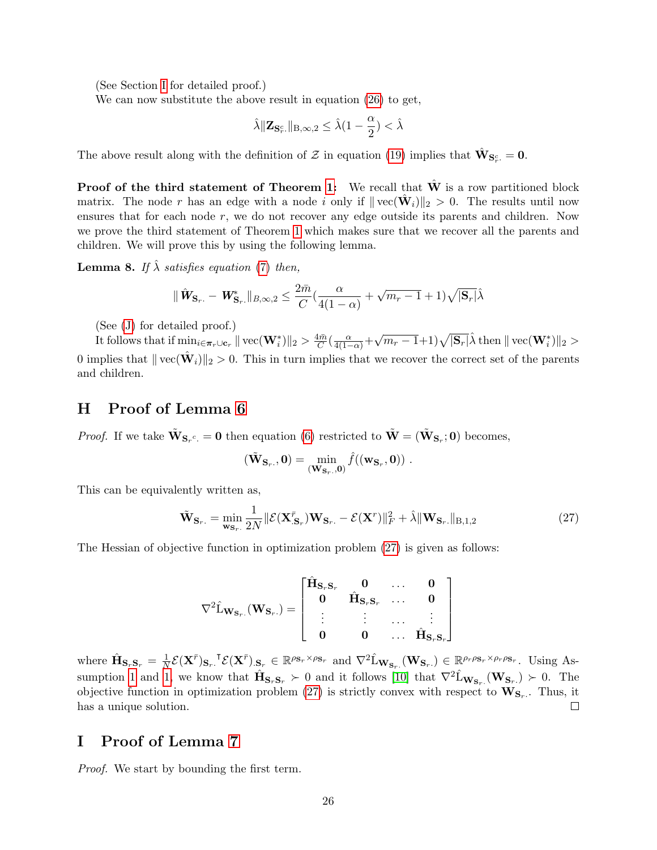(See Section [I](#page-25-1) for detailed proof.)

We can now substitute the above result in equation [\(26\)](#page-24-3) to get,

$$
\hat{\lambda} \|\mathbf{Z}_{\mathbf{S}_r^c\cdot}\|_{\mathbf{B},\infty,2} \leq \hat{\lambda}(1-\frac{\alpha}{2}) < \hat{\lambda}
$$

The above result along with the definition of  $\mathcal Z$  in equation [\(19\)](#page-22-3) implies that  $\hat{\mathbf{W}}_{\mathbf{S}_r^c} = \mathbf{0}$ .

**Proof of the third statement of Theorem [1:](#page-7-0)** We recall that  $W$  is a row partitioned block matrix. The node r has an edge with a node i only if  $\|\text{vec}(\hat{\mathbf{W}}_i)\|_2 > 0$ . The results until now ensures that for each node r, we do not recover any edge outside its parents and children. Now we prove the third statement of Theorem [1](#page-7-0) which makes sure that we recover all the parents and children. We will prove this by using the following lemma.

<span id="page-25-3"></span>**Lemma 8.** If  $\hat{\lambda}$  satisfies equation [\(7\)](#page-7-1) then,

$$
\|\hat{\mathbf{W}}_{\mathbf{S}_r.} - \mathbf{W}_{\mathbf{S}_r.}^*\|_{B,\infty,2} \le \frac{2\bar{m}}{C}(\frac{\alpha}{4(1-\alpha)} + \sqrt{m_r - 1} + 1)\sqrt{|\mathbf{S}_r|}\hat{\lambda}
$$

(See [\(J\)](#page-27-0) for detailed proof.)

It follows that if  $\min_{i \in \pi_r \cup \mathbf{c}_r} || \text{vec}(\mathbf{W}_i^*) ||_2 > \frac{4\bar{m}}{C}$  $\frac{4\bar{m}}{C}(\frac{\alpha}{4(1-\alpha)}+\alpha)$  $\sqrt{m_r-1}+1)\sqrt{|\mathbf{S}_r|}\hat{\lambda}$  then  $\|\text{vec}(\mathbf{W}_i^*)\|_2 >$ 0 implies that  $\|\text{vec}(\hat{\mathbf{W}}_i)\|_2 > 0$ . This in turn implies that we recover the correct set of the parents and children.

### <span id="page-25-0"></span>H Proof of Lemma [6](#page-23-3)

*Proof.* If we take  $\tilde{W}_{S_r^c} = 0$  then equation [\(6\)](#page-5-0) restricted to  $\tilde{W} = (\tilde{W}_{S_r}; 0)$  becomes,

<span id="page-25-2"></span>
$$
(\tilde{\mathbf{W}}_{\mathbf{S}_r.},0)=\min_{(\mathbf{W}_{\mathbf{S}_r.},0)}\hat{f}((\mathbf{w}_{\mathbf{S}_r},0))\ .
$$

This can be equivalently written as,

$$
\tilde{\mathbf{W}}_{\mathbf{S}_r.} = \min_{\mathbf{w}_{\mathbf{S}_r.}} \frac{1}{2N} \|\mathcal{E}(\mathbf{X}_{\mathbf{S}_r.}^{\bar{r}}) \mathbf{W}_{\mathbf{S}_r.} - \mathcal{E}(\mathbf{X}^r)\|_F^2 + \hat{\lambda} \|\mathbf{W}_{\mathbf{S}_r.}\|_{\text{B},1,2}
$$
(27)

The Hessian of objective function in optimization problem [\(27\)](#page-25-2) is given as follows:

$$
\nabla^2 \hat{L}_{\mathbf{W_{S_r.}}}(\mathbf{W_{S_r.}}) = \begin{bmatrix} \hat{\mathbf{H}}_{\mathbf{S_r S_r}} & \mathbf{0} & \dots & \mathbf{0} \\ \mathbf{0} & \hat{\mathbf{H}}_{\mathbf{S_r S_r}} & \dots & \mathbf{0} \\ \vdots & \vdots & \dots & \vdots \\ \mathbf{0} & \mathbf{0} & \dots & \hat{\mathbf{H_{S_r S_r}}} \end{bmatrix}
$$

 $\frac{1}{N} \mathcal{E}(\mathbf{X}^{\bar{r}})_{\mathbf{S}_r} \cdot \mathbf{I}^{\bar{r}} \mathcal{E}(\mathbf{X}^{\bar{r}})_{\mathbf{S}_r} \in \mathbb{R}^{\rho_{\mathbf{S}_r} \times \rho_{\mathbf{S}_r}}$  and  $\nabla^2 \hat{\mathbf{L}}_{\mathbf{W}_{\mathbf{S}_r}}(\mathbf{W}_{\mathbf{S}_r}) \in \mathbb{R}^{\rho_r \rho_{\mathbf{S}_r} \times \rho_r \rho_{\mathbf{S}_r}}$ . Using Aswhere  $\hat{\mathbf{H}}_{\mathbf{S}_r\mathbf{S}_r} = \frac{1}{N}$ sumption [1](#page-6-0) and [1,](#page-6-2) we know that  $\hat{\mathbf{H}}_{\mathbf{S}_r\mathbf{S}_r} \succ 0$  and it follows [\[10\]](#page-12-16) that  $\nabla^2 \hat{\mathbf{L}}_{\mathbf{W}_{\mathbf{S}_r}}(\mathbf{W}_{\mathbf{S}_r}) \succ 0$ . The objective function in optimization problem [\(27\)](#page-25-2) is strictly convex with respect to  $\mathbf{W}_{\mathbf{S}_r}$ . Thus, it has a unique solution.  $\Box$ 

### <span id="page-25-1"></span>I Proof of Lemma [7](#page-24-4)

Proof. We start by bounding the first term.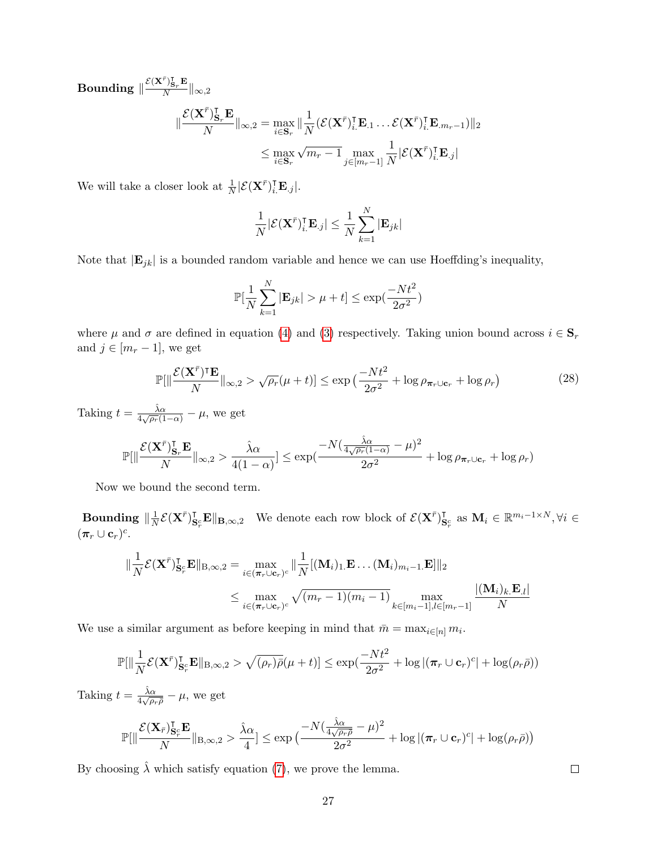$\textbf{Bounding} \parallel \frac{\mathcal{E}(\mathbf{X}^{\bar{r}})_{\mathbf{S}_r}^{\intercal} \mathbf{E}}{N}$  $\frac{\sqrt{\mathbf{s}_r}-\mathbf{s}_r}{N}\|_{\infty,2}$  $\parallel$  $\mathcal{E}(\mathbf{X}^{\bar{r}})_{\mathbf{S}}^{\intercal}$  $_{\mathbf{S}_{r}}^{\mathsf{T}}\mathbf{E}% _{r}=\mathbf{0} \label{eq:1}$  $\frac{d}{dx} \sum_{i=1}^T \|\mathbf{x}_{i+1} - \mathbf{x}_i\|_2^2 = \max_{i \in \mathbf{S}_r} \|\frac{1}{N}\|_2^2$  $\frac{1}{N}(\mathcal{E}(\mathbf{X}^{\bar{r}})^{\intercal}_{i\centerdot}\mathbf{E}_{.1} \ldots \mathcal{E}(\mathbf{X}^{\bar{r}})^{\intercal}_{i\centerdot}\mathbf{E}_{.m_r-1})\|_{2}$  $\leq \max_{i \in \mathbf{S}_r}$ √  $\overline{m_r-1}\max_{j\in[m_r-1]}$ 1  $\frac{1}{N}|\mathcal{E}(\mathbf{X}^{\bar{r}})^{\intercal}_{i.}\mathbf{E}_{\cdot j}|$ 

We will take a closer look at  $\frac{1}{N}|\mathcal{E}(\mathbf{X}^{\bar{r}})^{\intercal}_{i\cdot}\mathbf{E}_{\cdot j}|.$ 

$$
\frac{1}{N}|\mathcal{E}(\mathbf{X}^{\bar{r}})_{i.}^{\intercal} \mathbf{E}_{.j}| \leq \frac{1}{N} \sum_{k=1}^{N} |\mathbf{E}_{jk}|
$$

Note that  $|\mathbf{E}_{jk}|$  is a bounded random variable and hence we can use Hoeffding's inequality,

<span id="page-26-0"></span>
$$
\mathbb{P}[\frac{1}{N}\sum_{k=1}^{N}|\mathbf{E}_{jk}| > \mu + t] \le \exp(\frac{-Nt^2}{2\sigma^2})
$$

where  $\mu$  and  $\sigma$  are defined in equation [\(4\)](#page-4-3) and [\(3\)](#page-4-2) respectively. Taking union bound across  $i \in \mathbf{S}_r$ and  $j \in [m_r - 1]$ , we get

$$
\mathbb{P}[\|\frac{\mathcal{E}(\mathbf{X}^{\bar{r}})^{\mathsf{T}}\mathbf{E}}{N}\|_{\infty,2} > \sqrt{\rho_r}(\mu+t)] \le \exp\left(\frac{-Nt^2}{2\sigma^2} + \log \rho_{\pi_r \cup \mathbf{c}_r} + \log \rho_r\right) \tag{28}
$$

Taking  $t = \frac{\hat{\lambda} \alpha}{4 \sqrt{\alpha}}$  $\frac{\lambda \alpha}{4\sqrt{\rho_r}(1-\alpha)} - \mu$ , we get

$$
\mathbb{P}[\|\frac{\mathcal{E}(\mathbf{X}^{\bar{r}})_{\mathbf{S}_r}^{\intercal}\mathbf{E}}{N}\|_{\infty,2} > \frac{\hat{\lambda}\alpha}{4(1-\alpha)}] \le \exp(\frac{-N(\frac{\hat{\lambda}\alpha}{4\sqrt{\rho_r}(1-\alpha)}-\mu)^2}{2\sigma^2} + \log \rho_{\pi_r \cup \mathbf{c}_r} + \log \rho_r)
$$

Now we bound the second term.

Bounding  $\|\frac{1}{\lambda}\|$  $\frac{1}{N}\mathcal{E}(\mathbf{X}^{\bar{r}})_{\mathbf{S}}^{\intercal}$  $\mathbf{E}_{\mathbf{S}_r}^{\mathsf{T}} \mathbf{E} \|\mathbf{B}_{,\infty,2}$  We denote each row block of  $\mathcal{E}(\mathbf{X}^{\bar{r}})$  $\mathbf{S}_{r}^{\mathsf{c}}$  as  $\mathbf{M}_{i} \in \mathbb{R}^{m_{i}-1 \times N}, \forall i \in$  $(\boldsymbol{\pi}_r \cup \mathbf{c}_r)^c$ .

$$
\|\frac{1}{N}\mathcal{E}(\mathbf{X}^{\bar{r}})\mathbf{J}_{\mathbf{S}_r^c}\mathbf{E}\|_{\mathbf{B},\infty,2} = \max_{i \in (\pi_r \cup \mathbf{c}_r)^c} \|\frac{1}{N}[(\mathbf{M}_i)_{1\cdot}\mathbf{E}\dots(\mathbf{M}_i)_{m_i-1\cdot}\mathbf{E}]\|_2
$$
  

$$
\leq \max_{i \in (\pi_r \cup \mathbf{c}_r)^c} \sqrt{(m_r - 1)(m_i - 1)} \max_{k \in [m_i - 1], l \in [m_r - 1]} \frac{|(\mathbf{M}_i)_{k\cdot}\mathbf{E}_l|}{N}
$$

We use a similar argument as before keeping in mind that  $\bar{m} = \max_{i \in [n]} m_i$ .

$$
\mathbb{P}[\|\frac{1}{N}\mathcal{E}(\mathbf{X}^{\bar{r}})\mathbf{I}_{\mathbf{S}_{r}^{\bar{r}}}\mathbf{E}\|_{\text{B},\infty,2} > \sqrt{(\rho_{r})\bar{\rho}}(\mu+t)] \leq \exp(\frac{-Nt^{2}}{2\sigma^{2}} + \log |(\boldsymbol{\pi}_{r} \cup \mathbf{c}_{r})^{c}| + \log(\rho_{r}\bar{\rho}))
$$
  

$$
t = \frac{\hat{\lambda}\alpha}{\sqrt{\rho_{r}}}\frac{1}{\sqrt{\rho_{r}}}\frac{1}{\sqrt{\rho_{r}}}
$$

Taking  $\frac{\lambda \alpha}{4\sqrt{\rho_r\rho}} - \mu$ , we get

$$
\mathbb{P}[\|\frac{\mathcal{E}(\mathbf{X}_{\bar{r}})_{\mathbf{S}_{r}^c}^{\intercal}\mathbf{E}}{N}\|_{\mathbf{B},\infty,2} > \frac{\hat{\lambda}\alpha}{4}] \leq \exp\big(\frac{-N(\frac{\hat{\lambda}\alpha}{4\sqrt{\rho_r\bar{\rho}}}-\mu)^2}{2\sigma^2} + \log|(\boldsymbol{\pi}_r \cup \mathbf{c}_r)^c| + \log(\rho_r\bar{\rho})\big)
$$

By choosing  $\hat{\lambda}$  which satisfy equation [\(7\)](#page-7-1), we prove the lemma.

 $\Box$